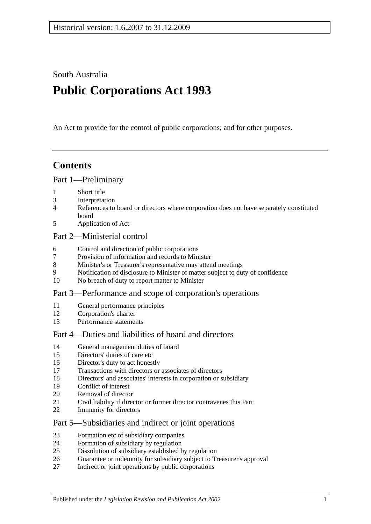South Australia

# **Public Corporations Act 1993**

An Act to provide for the control of public corporations; and for other purposes.

# **Contents**

#### [Part 1—Preliminary](#page-2-0)

- [Short title](#page-2-1)
- [Interpretation](#page-2-2)
- [References to board or directors where corporation does not have separately constituted](#page-4-0)  [board](#page-4-0)
- [Application of Act](#page-4-1)

#### [Part 2—Ministerial control](#page-5-0)

- [Control and direction of public corporations](#page-5-1)
- [Provision of information and records to Minister](#page-6-0)
- [Minister's or Treasurer's representative may attend meetings](#page-6-1)
- [Notification of disclosure to Minister of matter subject to duty of confidence](#page-6-2)
- [No breach of duty to report matter to Minister](#page-6-3)

#### [Part 3—Performance and scope of corporation's operations](#page-7-0)

- [General performance principles](#page-7-1)
- [Corporation's charter](#page-7-2)
- [Performance statements](#page-8-0)

### [Part 4—Duties and liabilities of board and directors](#page-8-1)

- [General management duties of board](#page-8-2)
- [Directors' duties of care etc](#page-9-0)
- [Director's duty to act honestly](#page-10-0)
- [Transactions with directors or associates of directors](#page-10-1)
- [Directors' and associates' interests in corporation or subsidiary](#page-11-0)
- [Conflict of interest](#page-12-0)
- [Removal of director](#page-13-0)
- [Civil liability if director or former director contravenes this Part](#page-13-1)
- [Immunity for directors](#page-13-2)

#### [Part 5—Subsidiaries and indirect or joint operations](#page-13-3)

- [Formation etc of subsidiary companies](#page-13-4)
- [Formation of subsidiary by regulation](#page-14-0)
- [Dissolution of subsidiary established by regulation](#page-14-1)
- [Guarantee or indemnity for subsidiary subject to Treasurer's approval](#page-15-0)
- [Indirect or joint operations by public corporations](#page-15-1)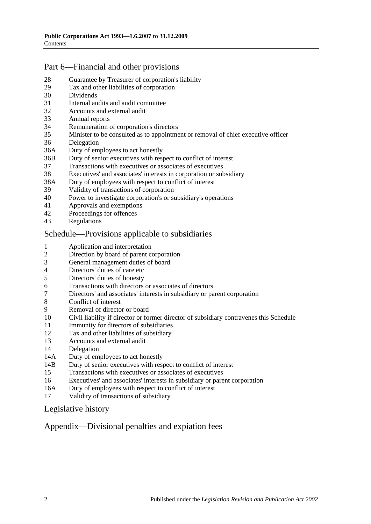### [Part 6—Financial and other provisions](#page-15-2)

- [Guarantee by Treasurer of corporation's liability](#page-15-3)
- [Tax and other liabilities of corporation](#page-15-4)
- [Dividends](#page-16-0)
- [Internal audits and audit committee](#page-16-1)
- [Accounts and external audit](#page-17-0)
- [Annual reports](#page-17-1)
- [Remuneration of corporation's directors](#page-18-0)
- [Minister to be consulted as to appointment or removal of chief executive officer](#page-18-1)
- [Delegation](#page-18-2)
- 36A [Duty of employees to act honestly](#page-19-0)
- 36B [Duty of senior executives with respect to conflict of interest](#page-19-1)
- [Transactions with executives or associates of executives](#page-21-0)
- [Executives' and associates' interests in corporation or subsidiary](#page-22-0)
- 38A [Duty of employees with respect to conflict of interest](#page-23-0)
- [Validity of transactions of corporation](#page-24-0)
- [Power to investigate corporation's or subsidiary's operations](#page-24-1)
- [Approvals and exemptions](#page-26-0)
- [Proceedings for offences](#page-26-1)<br>43 Regulations
- **[Regulations](#page-27-0)**

#### [Schedule—Provisions applicable to subsidiaries](#page-27-1)

- [Application and interpretation](#page-27-2)
- [Direction by board of parent corporation](#page-27-3)
- [General management duties of board](#page-27-4)
- [Directors' duties of care etc](#page-28-0)
- [Directors' duties of honesty](#page-28-1)
- [Transactions with directors or associates of directors](#page-29-0)
- [Directors' and associates' interests in subsidiary or parent corporation](#page-30-0)
- [Conflict of interest](#page-30-1)
- [Removal of director or board](#page-31-0)
- [Civil liability if director or former director of subsidiary contravenes this Schedule](#page-31-1)
- [Immunity for directors of subsidiaries](#page-32-0)
- [Tax and other liabilities of subsidiary](#page-32-1)
- [Accounts and external audit](#page-32-2)
- [Delegation](#page-33-0)
- 14A [Duty of employees to act honestly](#page-34-0)
- 14B [Duty of senior executives with respect to conflict of interest](#page-34-1)
- [Transactions with executives or associates of executives](#page-36-0)
- [Executives' and associates' interests in subsidiary or parent corporation](#page-37-0)
- 16A [Duty of employees with respect to conflict of interest](#page-38-0)
- [Validity of transactions of subsidiary](#page-39-0)

#### [Legislative history](#page-41-0)

#### [Appendix—Divisional penalties and expiation fees](#page-43-0)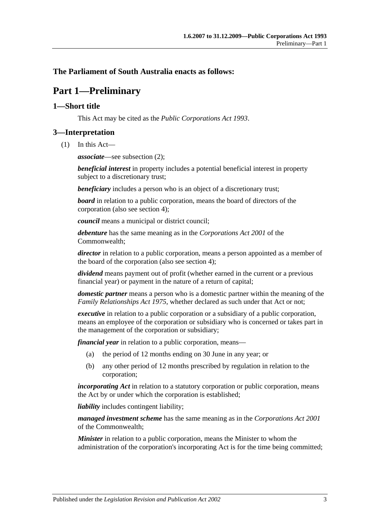#### <span id="page-2-0"></span>**The Parliament of South Australia enacts as follows:**

# **Part 1—Preliminary**

#### <span id="page-2-1"></span>**1—Short title**

This Act may be cited as the *Public Corporations Act 1993*.

#### <span id="page-2-2"></span>**3—Interpretation**

(1) In this Act—

*associate*—see [subsection](#page-3-0) (2);

*beneficial interest* in property includes a potential beneficial interest in property subject to a discretionary trust;

*beneficiary* includes a person who is an object of a discretionary trust;

*board* in relation to a public corporation, means the board of directors of the corporation (also see [section](#page-4-0) 4);

*council* means a municipal or district council;

*debenture* has the same meaning as in the *Corporations Act 2001* of the Commonwealth;

*director* in relation to a public corporation, means a person appointed as a member of the board of the corporation (also see [section](#page-4-0) 4);

*dividend* means payment out of profit (whether earned in the current or a previous financial year) or payment in the nature of a return of capital;

*domestic partner* means a person who is a domestic partner within the meaning of the *[Family Relationships Act](http://www.legislation.sa.gov.au/index.aspx?action=legref&type=act&legtitle=Family%20Relationships%20Act%201975) 1975*, whether declared as such under that Act or not;

*executive* in relation to a public corporation or a subsidiary of a public corporation, means an employee of the corporation or subsidiary who is concerned or takes part in the management of the corporation or subsidiary;

*financial year* in relation to a public corporation, means—

- (a) the period of 12 months ending on 30 June in any year; or
- (b) any other period of 12 months prescribed by regulation in relation to the corporation;

*incorporating Act* in relation to a statutory corporation or public corporation, means the Act by or under which the corporation is established;

*liability* includes contingent liability;

*managed investment scheme* has the same meaning as in the *Corporations Act 2001* of the Commonwealth;

*Minister* in relation to a public corporation, means the Minister to whom the administration of the corporation's incorporating Act is for the time being committed;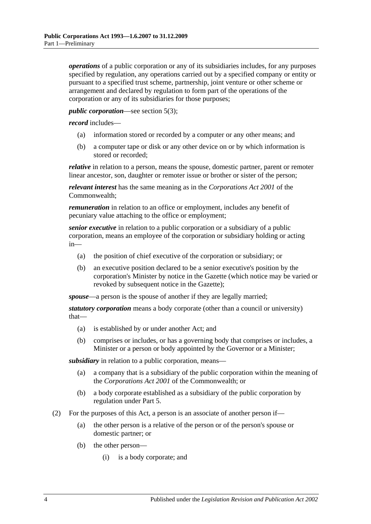*operations* of a public corporation or any of its subsidiaries includes, for any purposes specified by regulation, any operations carried out by a specified company or entity or pursuant to a specified trust scheme, partnership, joint venture or other scheme or arrangement and declared by regulation to form part of the operations of the corporation or any of its subsidiaries for those purposes;

#### *public corporation*—see [section](#page-4-2) 5(3);

*record* includes—

- (a) information stored or recorded by a computer or any other means; and
- (b) a computer tape or disk or any other device on or by which information is stored or recorded;

*relative* in relation to a person, means the spouse, domestic partner, parent or remoter linear ancestor, son, daughter or remoter issue or brother or sister of the person;

*relevant interest* has the same meaning as in the *Corporations Act 2001* of the Commonwealth;

*remuneration* in relation to an office or employment, includes any benefit of pecuniary value attaching to the office or employment;

*senior executive* in relation to a public corporation or a subsidiary of a public corporation, means an employee of the corporation or subsidiary holding or acting in—

- (a) the position of chief executive of the corporation or subsidiary; or
- (b) an executive position declared to be a senior executive's position by the corporation's Minister by notice in the Gazette (which notice may be varied or revoked by subsequent notice in the Gazette);

*spouse*—a person is the spouse of another if they are legally married;

*statutory corporation* means a body corporate (other than a council or university) that—

- (a) is established by or under another Act; and
- (b) comprises or includes, or has a governing body that comprises or includes, a Minister or a person or body appointed by the Governor or a Minister;

*subsidiary* in relation to a public corporation, means—

- (a) a company that is a subsidiary of the public corporation within the meaning of the *Corporations Act 2001* of the Commonwealth; or
- (b) a body corporate established as a subsidiary of the public corporation by regulation under [Part 5.](#page-13-3)
- <span id="page-3-1"></span><span id="page-3-0"></span>(2) For the purposes of this Act, a person is an associate of another person if—
	- (a) the other person is a relative of the person or of the person's spouse or domestic partner; or
	- (b) the other person—
		- (i) is a body corporate; and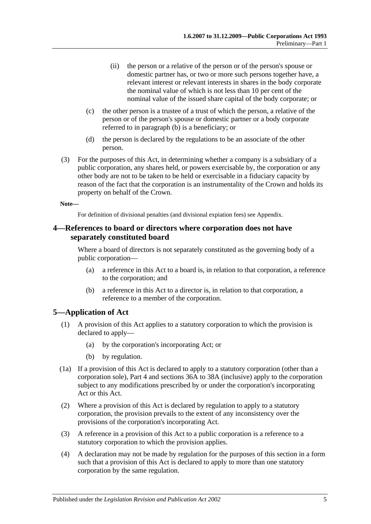- (ii) the person or a relative of the person or of the person's spouse or domestic partner has, or two or more such persons together have, a relevant interest or relevant interests in shares in the body corporate the nominal value of which is not less than 10 per cent of the nominal value of the issued share capital of the body corporate; or
- (c) the other person is a trustee of a trust of which the person, a relative of the person or of the person's spouse or domestic partner or a body corporate referred to in [paragraph](#page-3-1) (b) is a beneficiary; or
- (d) the person is declared by the regulations to be an associate of the other person.
- (3) For the purposes of this Act, in determining whether a company is a subsidiary of a public corporation, any shares held, or powers exercisable by, the corporation or any other body are not to be taken to be held or exercisable in a fiduciary capacity by reason of the fact that the corporation is an instrumentality of the Crown and holds its property on behalf of the Crown.

#### **Note—**

For definition of divisional penalties (and divisional expiation fees) see Appendix.

#### <span id="page-4-0"></span>**4—References to board or directors where corporation does not have separately constituted board**

Where a board of directors is not separately constituted as the governing body of a public corporation—

- (a) a reference in this Act to a board is, in relation to that corporation, a reference to the corporation; and
- (b) a reference in this Act to a director is, in relation to that corporation, a reference to a member of the corporation.

#### <span id="page-4-1"></span>**5—Application of Act**

- (1) A provision of this Act applies to a statutory corporation to which the provision is declared to apply—
	- (a) by the corporation's incorporating Act; or
	- (b) by regulation.
- (1a) If a provision of this Act is declared to apply to a statutory corporation (other than a corporation sole), [Part 4](#page-8-1) and [sections](#page-19-0) 36A to [38A](#page-23-0) (inclusive) apply to the corporation subject to any modifications prescribed by or under the corporation's incorporating Act or this Act.
- (2) Where a provision of this Act is declared by regulation to apply to a statutory corporation, the provision prevails to the extent of any inconsistency over the provisions of the corporation's incorporating Act.
- <span id="page-4-2"></span>(3) A reference in a provision of this Act to a public corporation is a reference to a statutory corporation to which the provision applies.
- (4) A declaration may not be made by regulation for the purposes of this section in a form such that a provision of this Act is declared to apply to more than one statutory corporation by the same regulation.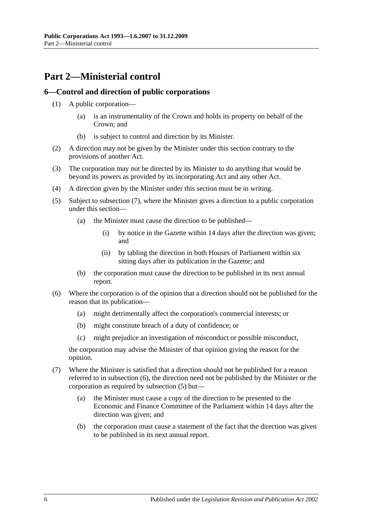# <span id="page-5-0"></span>**Part 2—Ministerial control**

#### <span id="page-5-1"></span>**6—Control and direction of public corporations**

- (1) A public corporation—
	- (a) is an instrumentality of the Crown and holds its property on behalf of the Crown; and
	- (b) is subject to control and direction by its Minister.
- (2) A direction may not be given by the Minister under this section contrary to the provisions of another Act.
- (3) The corporation may not be directed by its Minister to do anything that would be beyond its powers as provided by its incorporating Act and any other Act.
- (4) A direction given by the Minister under this section must be in writing.
- <span id="page-5-4"></span>(5) Subject to [subsection](#page-5-2) (7), where the Minister gives a direction to a public corporation under this section—
	- (a) the Minister must cause the direction to be published—
		- (i) by notice in the Gazette within 14 days after the direction was given; and
		- (ii) by tabling the direction in both Houses of Parliament within six sitting days after its publication in the Gazette; and
	- (b) the corporation must cause the direction to be published in its next annual report.
- <span id="page-5-3"></span>(6) Where the corporation is of the opinion that a direction should not be published for the reason that its publication—
	- (a) might detrimentally affect the corporation's commercial interests; or
	- (b) might constitute breach of a duty of confidence; or
	- (c) might prejudice an investigation of misconduct or possible misconduct,

the corporation may advise the Minister of that opinion giving the reason for the opinion.

- <span id="page-5-2"></span>(7) Where the Minister is satisfied that a direction should not be published for a reason referred to in [subsection](#page-5-3) (6), the direction need not be published by the Minister or the corporation as required by [subsection](#page-5-4) (5) but—
	- (a) the Minister must cause a copy of the direction to be presented to the Economic and Finance Committee of the Parliament within 14 days after the direction was given; and
	- (b) the corporation must cause a statement of the fact that the direction was given to be published in its next annual report.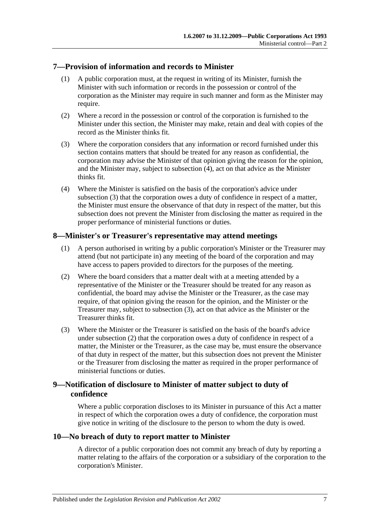#### <span id="page-6-0"></span>**7—Provision of information and records to Minister**

- (1) A public corporation must, at the request in writing of its Minister, furnish the Minister with such information or records in the possession or control of the corporation as the Minister may require in such manner and form as the Minister may require.
- (2) Where a record in the possession or control of the corporation is furnished to the Minister under this section, the Minister may make, retain and deal with copies of the record as the Minister thinks fit.
- <span id="page-6-5"></span>(3) Where the corporation considers that any information or record furnished under this section contains matters that should be treated for any reason as confidential, the corporation may advise the Minister of that opinion giving the reason for the opinion, and the Minister may, subject to [subsection](#page-6-4) (4), act on that advice as the Minister thinks fit.
- <span id="page-6-4"></span>(4) Where the Minister is satisfied on the basis of the corporation's advice under [subsection](#page-6-5) (3) that the corporation owes a duty of confidence in respect of a matter, the Minister must ensure the observance of that duty in respect of the matter, but this subsection does not prevent the Minister from disclosing the matter as required in the proper performance of ministerial functions or duties.

#### <span id="page-6-1"></span>**8—Minister's or Treasurer's representative may attend meetings**

- (1) A person authorised in writing by a public corporation's Minister or the Treasurer may attend (but not participate in) any meeting of the board of the corporation and may have access to papers provided to directors for the purposes of the meeting.
- <span id="page-6-7"></span>(2) Where the board considers that a matter dealt with at a meeting attended by a representative of the Minister or the Treasurer should be treated for any reason as confidential, the board may advise the Minister or the Treasurer, as the case may require, of that opinion giving the reason for the opinion, and the Minister or the Treasurer may, subject to [subsection](#page-6-6) (3), act on that advice as the Minister or the Treasurer thinks fit.
- <span id="page-6-6"></span>(3) Where the Minister or the Treasurer is satisfied on the basis of the board's advice under [subsection](#page-6-7) (2) that the corporation owes a duty of confidence in respect of a matter, the Minister or the Treasurer, as the case may be, must ensure the observance of that duty in respect of the matter, but this subsection does not prevent the Minister or the Treasurer from disclosing the matter as required in the proper performance of ministerial functions or duties.

#### <span id="page-6-2"></span>**9—Notification of disclosure to Minister of matter subject to duty of confidence**

Where a public corporation discloses to its Minister in pursuance of this Act a matter in respect of which the corporation owes a duty of confidence, the corporation must give notice in writing of the disclosure to the person to whom the duty is owed.

#### <span id="page-6-3"></span>**10—No breach of duty to report matter to Minister**

A director of a public corporation does not commit any breach of duty by reporting a matter relating to the affairs of the corporation or a subsidiary of the corporation to the corporation's Minister.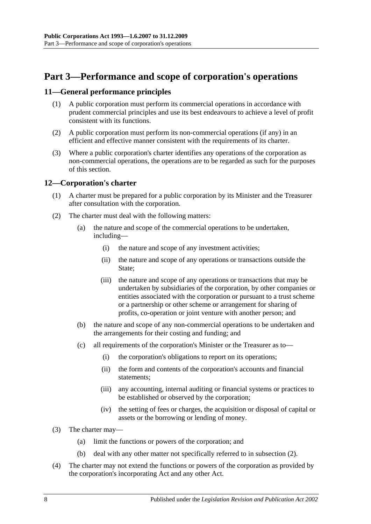# <span id="page-7-0"></span>**Part 3—Performance and scope of corporation's operations**

#### <span id="page-7-1"></span>**11—General performance principles**

- (1) A public corporation must perform its commercial operations in accordance with prudent commercial principles and use its best endeavours to achieve a level of profit consistent with its functions.
- (2) A public corporation must perform its non-commercial operations (if any) in an efficient and effective manner consistent with the requirements of its charter.
- (3) Where a public corporation's charter identifies any operations of the corporation as non-commercial operations, the operations are to be regarded as such for the purposes of this section.

#### <span id="page-7-2"></span>**12—Corporation's charter**

- (1) A charter must be prepared for a public corporation by its Minister and the Treasurer after consultation with the corporation.
- <span id="page-7-3"></span>(2) The charter must deal with the following matters:
	- (a) the nature and scope of the commercial operations to be undertaken, including—
		- (i) the nature and scope of any investment activities;
		- (ii) the nature and scope of any operations or transactions outside the State:
		- (iii) the nature and scope of any operations or transactions that may be undertaken by subsidiaries of the corporation, by other companies or entities associated with the corporation or pursuant to a trust scheme or a partnership or other scheme or arrangement for sharing of profits, co-operation or joint venture with another person; and
	- (b) the nature and scope of any non-commercial operations to be undertaken and the arrangements for their costing and funding; and
	- (c) all requirements of the corporation's Minister or the Treasurer as to—
		- (i) the corporation's obligations to report on its operations;
		- (ii) the form and contents of the corporation's accounts and financial statements;
		- (iii) any accounting, internal auditing or financial systems or practices to be established or observed by the corporation;
		- (iv) the setting of fees or charges, the acquisition or disposal of capital or assets or the borrowing or lending of money.
- (3) The charter may—
	- (a) limit the functions or powers of the corporation; and
	- (b) deal with any other matter not specifically referred to in [subsection](#page-7-3) (2).
- (4) The charter may not extend the functions or powers of the corporation as provided by the corporation's incorporating Act and any other Act.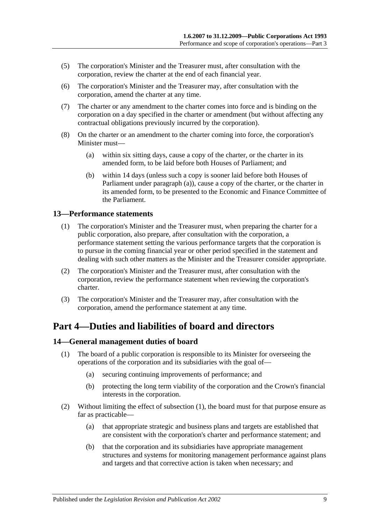- (5) The corporation's Minister and the Treasurer must, after consultation with the corporation, review the charter at the end of each financial year.
- (6) The corporation's Minister and the Treasurer may, after consultation with the corporation, amend the charter at any time.
- (7) The charter or any amendment to the charter comes into force and is binding on the corporation on a day specified in the charter or amendment (but without affecting any contractual obligations previously incurred by the corporation).
- <span id="page-8-3"></span>(8) On the charter or an amendment to the charter coming into force, the corporation's Minister must—
	- (a) within six sitting days, cause a copy of the charter, or the charter in its amended form, to be laid before both Houses of Parliament; and
	- (b) within 14 days (unless such a copy is sooner laid before both Houses of Parliament under [paragraph](#page-8-3) (a)), cause a copy of the charter, or the charter in its amended form, to be presented to the Economic and Finance Committee of the Parliament.

#### <span id="page-8-0"></span>**13—Performance statements**

- (1) The corporation's Minister and the Treasurer must, when preparing the charter for a public corporation, also prepare, after consultation with the corporation, a performance statement setting the various performance targets that the corporation is to pursue in the coming financial year or other period specified in the statement and dealing with such other matters as the Minister and the Treasurer consider appropriate.
- (2) The corporation's Minister and the Treasurer must, after consultation with the corporation, review the performance statement when reviewing the corporation's charter.
- (3) The corporation's Minister and the Treasurer may, after consultation with the corporation, amend the performance statement at any time.

# <span id="page-8-1"></span>**Part 4—Duties and liabilities of board and directors**

#### <span id="page-8-4"></span><span id="page-8-2"></span>**14—General management duties of board**

- (1) The board of a public corporation is responsible to its Minister for overseeing the operations of the corporation and its subsidiaries with the goal of—
	- (a) securing continuing improvements of performance; and
	- (b) protecting the long term viability of the corporation and the Crown's financial interests in the corporation.
- (2) Without limiting the effect of [subsection](#page-8-4) (1), the board must for that purpose ensure as far as practicable—
	- (a) that appropriate strategic and business plans and targets are established that are consistent with the corporation's charter and performance statement; and
	- (b) that the corporation and its subsidiaries have appropriate management structures and systems for monitoring management performance against plans and targets and that corrective action is taken when necessary; and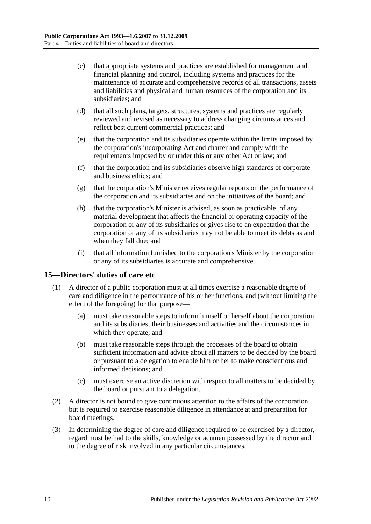- (c) that appropriate systems and practices are established for management and financial planning and control, including systems and practices for the maintenance of accurate and comprehensive records of all transactions, assets and liabilities and physical and human resources of the corporation and its subsidiaries; and
- (d) that all such plans, targets, structures, systems and practices are regularly reviewed and revised as necessary to address changing circumstances and reflect best current commercial practices; and
- (e) that the corporation and its subsidiaries operate within the limits imposed by the corporation's incorporating Act and charter and comply with the requirements imposed by or under this or any other Act or law; and
- (f) that the corporation and its subsidiaries observe high standards of corporate and business ethics; and
- (g) that the corporation's Minister receives regular reports on the performance of the corporation and its subsidiaries and on the initiatives of the board; and
- (h) that the corporation's Minister is advised, as soon as practicable, of any material development that affects the financial or operating capacity of the corporation or any of its subsidiaries or gives rise to an expectation that the corporation or any of its subsidiaries may not be able to meet its debts as and when they fall due; and
- (i) that all information furnished to the corporation's Minister by the corporation or any of its subsidiaries is accurate and comprehensive.

#### <span id="page-9-0"></span>**15—Directors' duties of care etc**

- (1) A director of a public corporation must at all times exercise a reasonable degree of care and diligence in the performance of his or her functions, and (without limiting the effect of the foregoing) for that purpose—
	- (a) must take reasonable steps to inform himself or herself about the corporation and its subsidiaries, their businesses and activities and the circumstances in which they operate; and
	- (b) must take reasonable steps through the processes of the board to obtain sufficient information and advice about all matters to be decided by the board or pursuant to a delegation to enable him or her to make conscientious and informed decisions; and
	- (c) must exercise an active discretion with respect to all matters to be decided by the board or pursuant to a delegation.
- (2) A director is not bound to give continuous attention to the affairs of the corporation but is required to exercise reasonable diligence in attendance at and preparation for board meetings.
- (3) In determining the degree of care and diligence required to be exercised by a director, regard must be had to the skills, knowledge or acumen possessed by the director and to the degree of risk involved in any particular circumstances.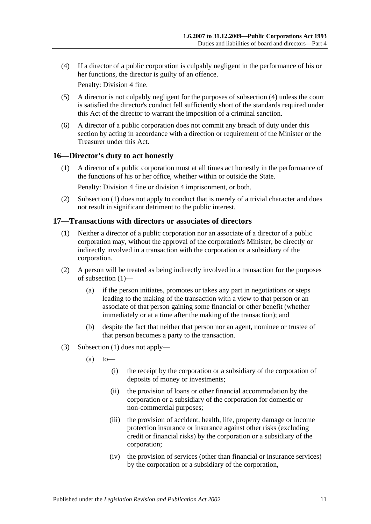<span id="page-10-2"></span>(4) If a director of a public corporation is culpably negligent in the performance of his or her functions, the director is guilty of an offence.

Penalty: Division 4 fine.

- (5) A director is not culpably negligent for the purposes of [subsection](#page-10-2) (4) unless the court is satisfied the director's conduct fell sufficiently short of the standards required under this Act of the director to warrant the imposition of a criminal sanction.
- (6) A director of a public corporation does not commit any breach of duty under this section by acting in accordance with a direction or requirement of the Minister or the Treasurer under this Act.

#### <span id="page-10-3"></span><span id="page-10-0"></span>**16—Director's duty to act honestly**

(1) A director of a public corporation must at all times act honestly in the performance of the functions of his or her office, whether within or outside the State.

Penalty: Division 4 fine or division 4 imprisonment, or both.

(2) [Subsection](#page-10-3) (1) does not apply to conduct that is merely of a trivial character and does not result in significant detriment to the public interest.

#### <span id="page-10-4"></span><span id="page-10-1"></span>**17—Transactions with directors or associates of directors**

- (1) Neither a director of a public corporation nor an associate of a director of a public corporation may, without the approval of the corporation's Minister, be directly or indirectly involved in a transaction with the corporation or a subsidiary of the corporation.
- (2) A person will be treated as being indirectly involved in a transaction for the purposes of [subsection](#page-10-4) (1)—
	- (a) if the person initiates, promotes or takes any part in negotiations or steps leading to the making of the transaction with a view to that person or an associate of that person gaining some financial or other benefit (whether immediately or at a time after the making of the transaction); and
	- (b) despite the fact that neither that person nor an agent, nominee or trustee of that person becomes a party to the transaction.
- (3) [Subsection](#page-10-4) (1) does not apply—
	- $(a)$  to
		- (i) the receipt by the corporation or a subsidiary of the corporation of deposits of money or investments;
		- (ii) the provision of loans or other financial accommodation by the corporation or a subsidiary of the corporation for domestic or non-commercial purposes;
		- (iii) the provision of accident, health, life, property damage or income protection insurance or insurance against other risks (excluding credit or financial risks) by the corporation or a subsidiary of the corporation;
		- (iv) the provision of services (other than financial or insurance services) by the corporation or a subsidiary of the corporation,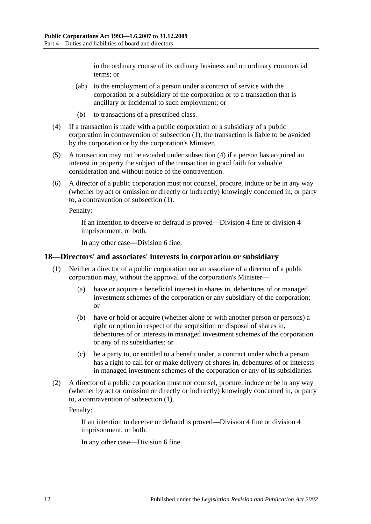in the ordinary course of its ordinary business and on ordinary commercial terms; or

- (ab) to the employment of a person under a contract of service with the corporation or a subsidiary of the corporation or to a transaction that is ancillary or incidental to such employment; or
- (b) to transactions of a prescribed class.
- <span id="page-11-1"></span>(4) If a transaction is made with a public corporation or a subsidiary of a public corporation in contravention of [subsection](#page-10-4) (1), the transaction is liable to be avoided by the corporation or by the corporation's Minister.
- (5) A transaction may not be avoided under [subsection](#page-11-1) (4) if a person has acquired an interest in property the subject of the transaction in good faith for valuable consideration and without notice of the contravention.
- (6) A director of a public corporation must not counsel, procure, induce or be in any way (whether by act or omission or directly or indirectly) knowingly concerned in, or party to, a contravention of [subsection](#page-10-4) (1).

Penalty:

If an intention to deceive or defraud is proved—Division 4 fine or division 4 imprisonment, or both.

In any other case—Division 6 fine.

#### <span id="page-11-2"></span><span id="page-11-0"></span>**18—Directors' and associates' interests in corporation or subsidiary**

- (1) Neither a director of a public corporation nor an associate of a director of a public corporation may, without the approval of the corporation's Minister—
	- (a) have or acquire a beneficial interest in shares in, debentures of or managed investment schemes of the corporation or any subsidiary of the corporation; or
	- (b) have or hold or acquire (whether alone or with another person or persons) a right or option in respect of the acquisition or disposal of shares in, debentures of or interests in managed investment schemes of the corporation or any of its subsidiaries; or
	- (c) be a party to, or entitled to a benefit under, a contract under which a person has a right to call for or make delivery of shares in, debentures of or interests in managed investment schemes of the corporation or any of its subsidiaries.
- (2) A director of a public corporation must not counsel, procure, induce or be in any way (whether by act or omission or directly or indirectly) knowingly concerned in, or party to, a contravention of [subsection](#page-11-2) (1).

Penalty:

If an intention to deceive or defraud is proved—Division 4 fine or division 4 imprisonment, or both.

In any other case—Division 6 fine.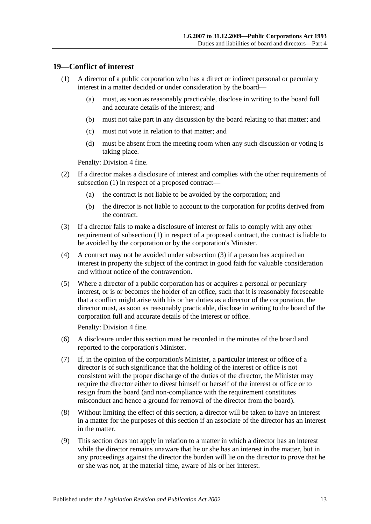#### <span id="page-12-1"></span><span id="page-12-0"></span>**19—Conflict of interest**

- (1) A director of a public corporation who has a direct or indirect personal or pecuniary interest in a matter decided or under consideration by the board—
	- (a) must, as soon as reasonably practicable, disclose in writing to the board full and accurate details of the interest; and
	- (b) must not take part in any discussion by the board relating to that matter; and
	- (c) must not vote in relation to that matter; and
	- (d) must be absent from the meeting room when any such discussion or voting is taking place.

Penalty: Division 4 fine.

- (2) If a director makes a disclosure of interest and complies with the other requirements of [subsection](#page-12-1) (1) in respect of a proposed contract—
	- (a) the contract is not liable to be avoided by the corporation; and
	- (b) the director is not liable to account to the corporation for profits derived from the contract.
- <span id="page-12-2"></span>(3) If a director fails to make a disclosure of interest or fails to comply with any other requirement of [subsection](#page-12-1) (1) in respect of a proposed contract, the contract is liable to be avoided by the corporation or by the corporation's Minister.
- (4) A contract may not be avoided under [subsection](#page-12-2) (3) if a person has acquired an interest in property the subject of the contract in good faith for valuable consideration and without notice of the contravention.
- (5) Where a director of a public corporation has or acquires a personal or pecuniary interest, or is or becomes the holder of an office, such that it is reasonably foreseeable that a conflict might arise with his or her duties as a director of the corporation, the director must, as soon as reasonably practicable, disclose in writing to the board of the corporation full and accurate details of the interest or office.

Penalty: Division 4 fine.

- (6) A disclosure under this section must be recorded in the minutes of the board and reported to the corporation's Minister.
- (7) If, in the opinion of the corporation's Minister, a particular interest or office of a director is of such significance that the holding of the interest or office is not consistent with the proper discharge of the duties of the director, the Minister may require the director either to divest himself or herself of the interest or office or to resign from the board (and non-compliance with the requirement constitutes misconduct and hence a ground for removal of the director from the board).
- (8) Without limiting the effect of this section, a director will be taken to have an interest in a matter for the purposes of this section if an associate of the director has an interest in the matter.
- (9) This section does not apply in relation to a matter in which a director has an interest while the director remains unaware that he or she has an interest in the matter, but in any proceedings against the director the burden will lie on the director to prove that he or she was not, at the material time, aware of his or her interest.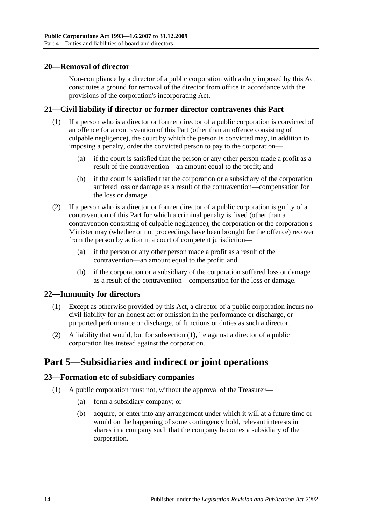#### <span id="page-13-0"></span>**20—Removal of director**

Non-compliance by a director of a public corporation with a duty imposed by this Act constitutes a ground for removal of the director from office in accordance with the provisions of the corporation's incorporating Act.

#### <span id="page-13-1"></span>**21—Civil liability if director or former director contravenes this Part**

- (1) If a person who is a director or former director of a public corporation is convicted of an offence for a contravention of this Part (other than an offence consisting of culpable negligence), the court by which the person is convicted may, in addition to imposing a penalty, order the convicted person to pay to the corporation—
	- (a) if the court is satisfied that the person or any other person made a profit as a result of the contravention—an amount equal to the profit; and
	- (b) if the court is satisfied that the corporation or a subsidiary of the corporation suffered loss or damage as a result of the contravention—compensation for the loss or damage.
- (2) If a person who is a director or former director of a public corporation is guilty of a contravention of this Part for which a criminal penalty is fixed (other than a contravention consisting of culpable negligence), the corporation or the corporation's Minister may (whether or not proceedings have been brought for the offence) recover from the person by action in a court of competent jurisdiction—
	- (a) if the person or any other person made a profit as a result of the contravention—an amount equal to the profit; and
	- (b) if the corporation or a subsidiary of the corporation suffered loss or damage as a result of the contravention—compensation for the loss or damage.

#### <span id="page-13-5"></span><span id="page-13-2"></span>**22—Immunity for directors**

- (1) Except as otherwise provided by this Act, a director of a public corporation incurs no civil liability for an honest act or omission in the performance or discharge, or purported performance or discharge, of functions or duties as such a director.
- (2) A liability that would, but for [subsection](#page-13-5) (1), lie against a director of a public corporation lies instead against the corporation.

# <span id="page-13-3"></span>**Part 5—Subsidiaries and indirect or joint operations**

#### <span id="page-13-4"></span>**23—Formation etc of subsidiary companies**

- (1) A public corporation must not, without the approval of the Treasurer—
	- (a) form a subsidiary company; or
	- (b) acquire, or enter into any arrangement under which it will at a future time or would on the happening of some contingency hold, relevant interests in shares in a company such that the company becomes a subsidiary of the corporation.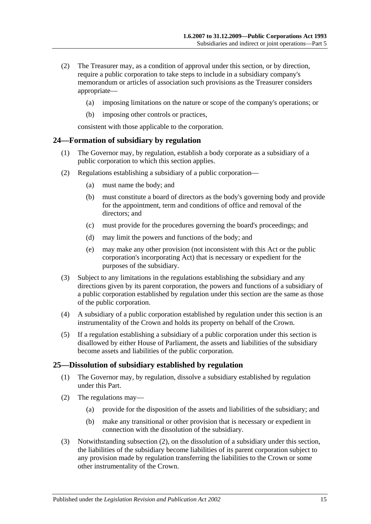- (2) The Treasurer may, as a condition of approval under this section, or by direction, require a public corporation to take steps to include in a subsidiary company's memorandum or articles of association such provisions as the Treasurer considers appropriate—
	- (a) imposing limitations on the nature or scope of the company's operations; or
	- (b) imposing other controls or practices,

consistent with those applicable to the corporation.

#### <span id="page-14-0"></span>**24—Formation of subsidiary by regulation**

- (1) The Governor may, by regulation, establish a body corporate as a subsidiary of a public corporation to which this section applies.
- (2) Regulations establishing a subsidiary of a public corporation—
	- (a) must name the body; and
	- (b) must constitute a board of directors as the body's governing body and provide for the appointment, term and conditions of office and removal of the directors; and
	- (c) must provide for the procedures governing the board's proceedings; and
	- (d) may limit the powers and functions of the body; and
	- (e) may make any other provision (not inconsistent with this Act or the public corporation's incorporating Act) that is necessary or expedient for the purposes of the subsidiary.
- (3) Subject to any limitations in the regulations establishing the subsidiary and any directions given by its parent corporation, the powers and functions of a subsidiary of a public corporation established by regulation under this section are the same as those of the public corporation.
- (4) A subsidiary of a public corporation established by regulation under this section is an instrumentality of the Crown and holds its property on behalf of the Crown.
- (5) If a regulation establishing a subsidiary of a public corporation under this section is disallowed by either House of Parliament, the assets and liabilities of the subsidiary become assets and liabilities of the public corporation.

#### <span id="page-14-1"></span>**25—Dissolution of subsidiary established by regulation**

- (1) The Governor may, by regulation, dissolve a subsidiary established by regulation under this Part.
- <span id="page-14-2"></span>(2) The regulations may—
	- (a) provide for the disposition of the assets and liabilities of the subsidiary; and
	- (b) make any transitional or other provision that is necessary or expedient in connection with the dissolution of the subsidiary.
- (3) Notwithstanding [subsection](#page-14-2) (2), on the dissolution of a subsidiary under this section, the liabilities of the subsidiary become liabilities of its parent corporation subject to any provision made by regulation transferring the liabilities to the Crown or some other instrumentality of the Crown.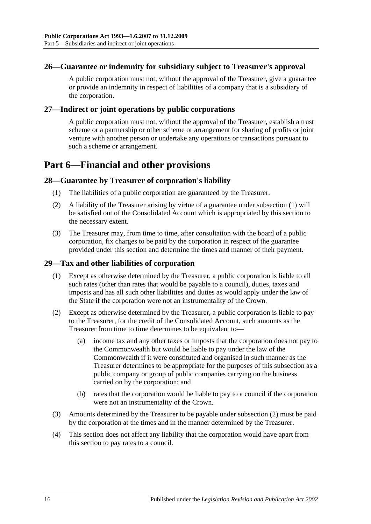#### <span id="page-15-0"></span>**26—Guarantee or indemnity for subsidiary subject to Treasurer's approval**

A public corporation must not, without the approval of the Treasurer, give a guarantee or provide an indemnity in respect of liabilities of a company that is a subsidiary of the corporation.

#### <span id="page-15-1"></span>**27—Indirect or joint operations by public corporations**

A public corporation must not, without the approval of the Treasurer, establish a trust scheme or a partnership or other scheme or arrangement for sharing of profits or joint venture with another person or undertake any operations or transactions pursuant to such a scheme or arrangement.

# <span id="page-15-2"></span>**Part 6—Financial and other provisions**

#### <span id="page-15-5"></span><span id="page-15-3"></span>**28—Guarantee by Treasurer of corporation's liability**

- (1) The liabilities of a public corporation are guaranteed by the Treasurer.
- (2) A liability of the Treasurer arising by virtue of a guarantee under [subsection](#page-15-5) (1) will be satisfied out of the Consolidated Account which is appropriated by this section to the necessary extent.
- (3) The Treasurer may, from time to time, after consultation with the board of a public corporation, fix charges to be paid by the corporation in respect of the guarantee provided under this section and determine the times and manner of their payment.

#### <span id="page-15-4"></span>**29—Tax and other liabilities of corporation**

- (1) Except as otherwise determined by the Treasurer, a public corporation is liable to all such rates (other than rates that would be payable to a council), duties, taxes and imposts and has all such other liabilities and duties as would apply under the law of the State if the corporation were not an instrumentality of the Crown.
- <span id="page-15-6"></span>(2) Except as otherwise determined by the Treasurer, a public corporation is liable to pay to the Treasurer, for the credit of the Consolidated Account, such amounts as the Treasurer from time to time determines to be equivalent to—
	- (a) income tax and any other taxes or imposts that the corporation does not pay to the Commonwealth but would be liable to pay under the law of the Commonwealth if it were constituted and organised in such manner as the Treasurer determines to be appropriate for the purposes of this subsection as a public company or group of public companies carrying on the business carried on by the corporation; and
	- (b) rates that the corporation would be liable to pay to a council if the corporation were not an instrumentality of the Crown.
- (3) Amounts determined by the Treasurer to be payable under [subsection](#page-15-6) (2) must be paid by the corporation at the times and in the manner determined by the Treasurer.
- (4) This section does not affect any liability that the corporation would have apart from this section to pay rates to a council.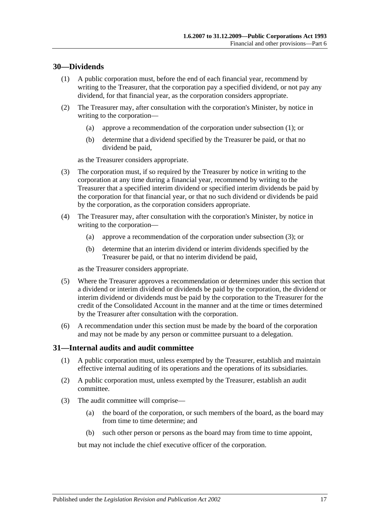#### <span id="page-16-2"></span><span id="page-16-0"></span>**30—Dividends**

- (1) A public corporation must, before the end of each financial year, recommend by writing to the Treasurer, that the corporation pay a specified dividend, or not pay any dividend, for that financial year, as the corporation considers appropriate.
- (2) The Treasurer may, after consultation with the corporation's Minister, by notice in writing to the corporation—
	- (a) approve a recommendation of the corporation under [subsection](#page-16-2) (1); or
	- (b) determine that a dividend specified by the Treasurer be paid, or that no dividend be paid,

as the Treasurer considers appropriate.

- <span id="page-16-3"></span>(3) The corporation must, if so required by the Treasurer by notice in writing to the corporation at any time during a financial year, recommend by writing to the Treasurer that a specified interim dividend or specified interim dividends be paid by the corporation for that financial year, or that no such dividend or dividends be paid by the corporation, as the corporation considers appropriate.
- (4) The Treasurer may, after consultation with the corporation's Minister, by notice in writing to the corporation—
	- (a) approve a recommendation of the corporation under [subsection](#page-16-3) (3); or
	- (b) determine that an interim dividend or interim dividends specified by the Treasurer be paid, or that no interim dividend be paid,

as the Treasurer considers appropriate.

- (5) Where the Treasurer approves a recommendation or determines under this section that a dividend or interim dividend or dividends be paid by the corporation, the dividend or interim dividend or dividends must be paid by the corporation to the Treasurer for the credit of the Consolidated Account in the manner and at the time or times determined by the Treasurer after consultation with the corporation.
- (6) A recommendation under this section must be made by the board of the corporation and may not be made by any person or committee pursuant to a delegation.

#### <span id="page-16-1"></span>**31—Internal audits and audit committee**

- (1) A public corporation must, unless exempted by the Treasurer, establish and maintain effective internal auditing of its operations and the operations of its subsidiaries.
- (2) A public corporation must, unless exempted by the Treasurer, establish an audit committee.
- (3) The audit committee will comprise—
	- (a) the board of the corporation, or such members of the board, as the board may from time to time determine; and
	- (b) such other person or persons as the board may from time to time appoint,

but may not include the chief executive officer of the corporation.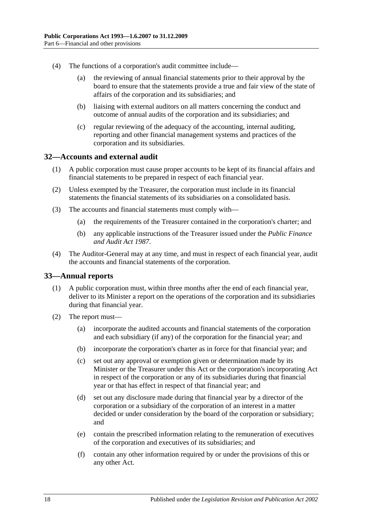- (4) The functions of a corporation's audit committee include—
	- (a) the reviewing of annual financial statements prior to their approval by the board to ensure that the statements provide a true and fair view of the state of affairs of the corporation and its subsidiaries; and
	- (b) liaising with external auditors on all matters concerning the conduct and outcome of annual audits of the corporation and its subsidiaries; and
	- (c) regular reviewing of the adequacy of the accounting, internal auditing, reporting and other financial management systems and practices of the corporation and its subsidiaries.

#### <span id="page-17-0"></span>**32—Accounts and external audit**

- (1) A public corporation must cause proper accounts to be kept of its financial affairs and financial statements to be prepared in respect of each financial year.
- (2) Unless exempted by the Treasurer, the corporation must include in its financial statements the financial statements of its subsidiaries on a consolidated basis.
- (3) The accounts and financial statements must comply with—
	- (a) the requirements of the Treasurer contained in the corporation's charter; and
	- (b) any applicable instructions of the Treasurer issued under the *[Public Finance](http://www.legislation.sa.gov.au/index.aspx?action=legref&type=act&legtitle=Public%20Finance%20and%20Audit%20Act%201987)  [and Audit Act](http://www.legislation.sa.gov.au/index.aspx?action=legref&type=act&legtitle=Public%20Finance%20and%20Audit%20Act%201987) 1987*.
- (4) The Auditor-General may at any time, and must in respect of each financial year, audit the accounts and financial statements of the corporation.

#### <span id="page-17-1"></span>**33—Annual reports**

- (1) A public corporation must, within three months after the end of each financial year, deliver to its Minister a report on the operations of the corporation and its subsidiaries during that financial year.
- (2) The report must—
	- (a) incorporate the audited accounts and financial statements of the corporation and each subsidiary (if any) of the corporation for the financial year; and
	- (b) incorporate the corporation's charter as in force for that financial year; and
	- (c) set out any approval or exemption given or determination made by its Minister or the Treasurer under this Act or the corporation's incorporating Act in respect of the corporation or any of its subsidiaries during that financial year or that has effect in respect of that financial year; and
	- (d) set out any disclosure made during that financial year by a director of the corporation or a subsidiary of the corporation of an interest in a matter decided or under consideration by the board of the corporation or subsidiary; and
	- (e) contain the prescribed information relating to the remuneration of executives of the corporation and executives of its subsidiaries; and
	- (f) contain any other information required by or under the provisions of this or any other Act.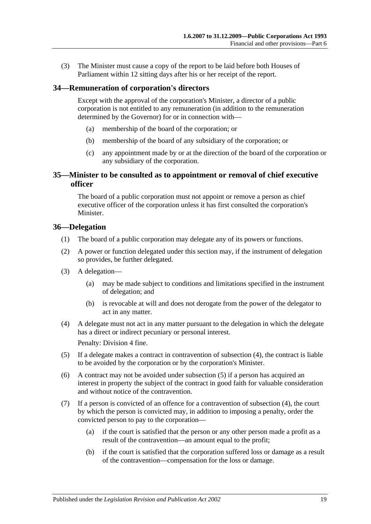(3) The Minister must cause a copy of the report to be laid before both Houses of Parliament within 12 sitting days after his or her receipt of the report.

#### <span id="page-18-0"></span>**34—Remuneration of corporation's directors**

Except with the approval of the corporation's Minister, a director of a public corporation is not entitled to any remuneration (in addition to the remuneration determined by the Governor) for or in connection with—

- (a) membership of the board of the corporation; or
- (b) membership of the board of any subsidiary of the corporation; or
- (c) any appointment made by or at the direction of the board of the corporation or any subsidiary of the corporation.

#### <span id="page-18-1"></span>**35—Minister to be consulted as to appointment or removal of chief executive officer**

The board of a public corporation must not appoint or remove a person as chief executive officer of the corporation unless it has first consulted the corporation's Minister.

#### <span id="page-18-2"></span>**36—Delegation**

- (1) The board of a public corporation may delegate any of its powers or functions.
- (2) A power or function delegated under this section may, if the instrument of delegation so provides, be further delegated.
- (3) A delegation—
	- (a) may be made subject to conditions and limitations specified in the instrument of delegation; and
	- (b) is revocable at will and does not derogate from the power of the delegator to act in any matter.
- <span id="page-18-3"></span>(4) A delegate must not act in any matter pursuant to the delegation in which the delegate has a direct or indirect pecuniary or personal interest.

Penalty: Division 4 fine.

- <span id="page-18-4"></span>(5) If a delegate makes a contract in contravention of [subsection](#page-18-3) (4), the contract is liable to be avoided by the corporation or by the corporation's Minister.
- (6) A contract may not be avoided under [subsection](#page-18-4) (5) if a person has acquired an interest in property the subject of the contract in good faith for valuable consideration and without notice of the contravention.
- (7) If a person is convicted of an offence for a contravention of [subsection](#page-18-3) (4), the court by which the person is convicted may, in addition to imposing a penalty, order the convicted person to pay to the corporation—
	- (a) if the court is satisfied that the person or any other person made a profit as a result of the contravention—an amount equal to the profit;
	- (b) if the court is satisfied that the corporation suffered loss or damage as a result of the contravention—compensation for the loss or damage.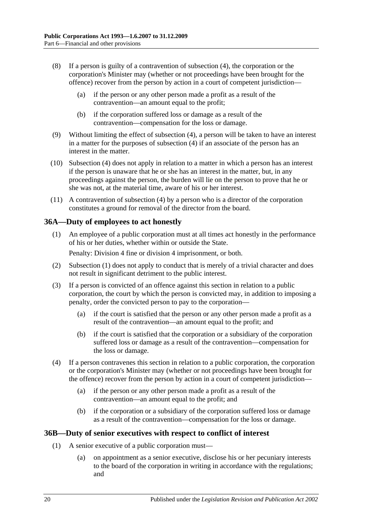- (8) If a person is guilty of a contravention of [subsection](#page-18-3) (4), the corporation or the corporation's Minister may (whether or not proceedings have been brought for the offence) recover from the person by action in a court of competent jurisdiction—
	- (a) if the person or any other person made a profit as a result of the contravention—an amount equal to the profit;
	- (b) if the corporation suffered loss or damage as a result of the contravention—compensation for the loss or damage.
- (9) Without limiting the effect of [subsection](#page-18-3) (4), a person will be taken to have an interest in a matter for the purposes of [subsection](#page-18-3) (4) if an associate of the person has an interest in the matter.
- (10) [Subsection](#page-18-3) (4) does not apply in relation to a matter in which a person has an interest if the person is unaware that he or she has an interest in the matter, but, in any proceedings against the person, the burden will lie on the person to prove that he or she was not, at the material time, aware of his or her interest.
- (11) A contravention of [subsection](#page-18-3) (4) by a person who is a director of the corporation constitutes a ground for removal of the director from the board.

#### <span id="page-19-2"></span><span id="page-19-0"></span>**36A—Duty of employees to act honestly**

(1) An employee of a public corporation must at all times act honestly in the performance of his or her duties, whether within or outside the State.

Penalty: Division 4 fine or division 4 imprisonment, or both.

- (2) [Subsection](#page-19-2) (1) does not apply to conduct that is merely of a trivial character and does not result in significant detriment to the public interest.
- (3) If a person is convicted of an offence against this section in relation to a public corporation, the court by which the person is convicted may, in addition to imposing a penalty, order the convicted person to pay to the corporation—
	- (a) if the court is satisfied that the person or any other person made a profit as a result of the contravention—an amount equal to the profit; and
	- (b) if the court is satisfied that the corporation or a subsidiary of the corporation suffered loss or damage as a result of the contravention—compensation for the loss or damage.
- (4) If a person contravenes this section in relation to a public corporation, the corporation or the corporation's Minister may (whether or not proceedings have been brought for the offence) recover from the person by action in a court of competent jurisdiction—
	- (a) if the person or any other person made a profit as a result of the contravention—an amount equal to the profit; and
	- (b) if the corporation or a subsidiary of the corporation suffered loss or damage as a result of the contravention—compensation for the loss or damage.

#### <span id="page-19-4"></span><span id="page-19-1"></span>**36B—Duty of senior executives with respect to conflict of interest**

- <span id="page-19-3"></span>(1) A senior executive of a public corporation must—
	- (a) on appointment as a senior executive, disclose his or her pecuniary interests to the board of the corporation in writing in accordance with the regulations; and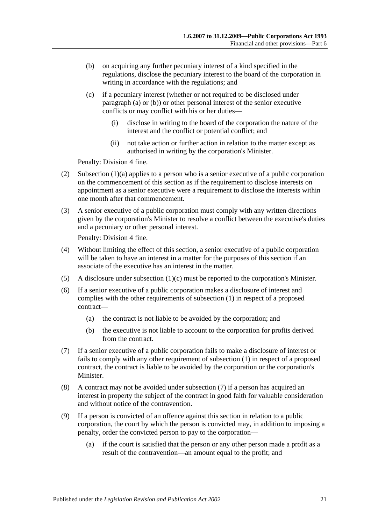- <span id="page-20-0"></span>(b) on acquiring any further pecuniary interest of a kind specified in the regulations, disclose the pecuniary interest to the board of the corporation in writing in accordance with the regulations; and
- <span id="page-20-1"></span>(c) if a pecuniary interest (whether or not required to be disclosed under [paragraph](#page-19-3) (a) or [\(b\)\)](#page-20-0) or other personal interest of the senior executive conflicts or may conflict with his or her duties—
	- (i) disclose in writing to the board of the corporation the nature of the interest and the conflict or potential conflict; and
	- (ii) not take action or further action in relation to the matter except as authorised in writing by the corporation's Minister.

Penalty: Division 4 fine.

- (2) [Subsection](#page-19-3)  $(1)(a)$  applies to a person who is a senior executive of a public corporation on the commencement of this section as if the requirement to disclose interests on appointment as a senior executive were a requirement to disclose the interests within one month after that commencement.
- (3) A senior executive of a public corporation must comply with any written directions given by the corporation's Minister to resolve a conflict between the executive's duties and a pecuniary or other personal interest.

Penalty: Division 4 fine.

- (4) Without limiting the effect of this section, a senior executive of a public corporation will be taken to have an interest in a matter for the purposes of this section if an associate of the executive has an interest in the matter.
- (5) A disclosure under [subsection](#page-20-1) (1)(c) must be reported to the corporation's Minister.
- (6) If a senior executive of a public corporation makes a disclosure of interest and complies with the other requirements of [subsection](#page-19-4) (1) in respect of a proposed contract—
	- (a) the contract is not liable to be avoided by the corporation; and
	- (b) the executive is not liable to account to the corporation for profits derived from the contract.
- <span id="page-20-2"></span>(7) If a senior executive of a public corporation fails to make a disclosure of interest or fails to comply with any other requirement of [subsection](#page-19-4) (1) in respect of a proposed contract, the contract is liable to be avoided by the corporation or the corporation's Minister.
- (8) A contract may not be avoided under [subsection](#page-20-2) (7) if a person has acquired an interest in property the subject of the contract in good faith for valuable consideration and without notice of the contravention.
- (9) If a person is convicted of an offence against this section in relation to a public corporation, the court by which the person is convicted may, in addition to imposing a penalty, order the convicted person to pay to the corporation—
	- (a) if the court is satisfied that the person or any other person made a profit as a result of the contravention—an amount equal to the profit; and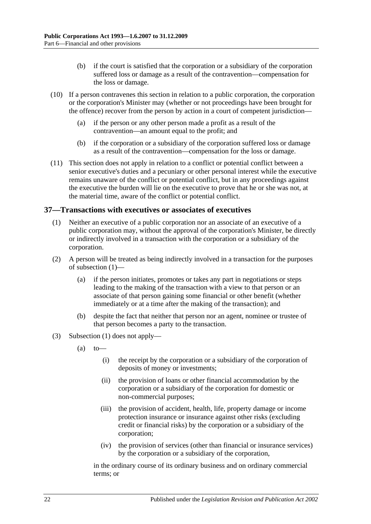- (b) if the court is satisfied that the corporation or a subsidiary of the corporation suffered loss or damage as a result of the contravention—compensation for the loss or damage.
- (10) If a person contravenes this section in relation to a public corporation, the corporation or the corporation's Minister may (whether or not proceedings have been brought for the offence) recover from the person by action in a court of competent jurisdiction—
	- (a) if the person or any other person made a profit as a result of the contravention—an amount equal to the profit; and
	- (b) if the corporation or a subsidiary of the corporation suffered loss or damage as a result of the contravention—compensation for the loss or damage.
- (11) This section does not apply in relation to a conflict or potential conflict between a senior executive's duties and a pecuniary or other personal interest while the executive remains unaware of the conflict or potential conflict, but in any proceedings against the executive the burden will lie on the executive to prove that he or she was not, at the material time, aware of the conflict or potential conflict.

#### <span id="page-21-1"></span><span id="page-21-0"></span>**37—Transactions with executives or associates of executives**

- (1) Neither an executive of a public corporation nor an associate of an executive of a public corporation may, without the approval of the corporation's Minister, be directly or indirectly involved in a transaction with the corporation or a subsidiary of the corporation.
- (2) A person will be treated as being indirectly involved in a transaction for the purposes of [subsection](#page-21-1) (1)—
	- (a) if the person initiates, promotes or takes any part in negotiations or steps leading to the making of the transaction with a view to that person or an associate of that person gaining some financial or other benefit (whether immediately or at a time after the making of the transaction); and
	- (b) despite the fact that neither that person nor an agent, nominee or trustee of that person becomes a party to the transaction.
- (3) [Subsection](#page-21-1) (1) does not apply—
	- $(a)$  to
		- (i) the receipt by the corporation or a subsidiary of the corporation of deposits of money or investments;
		- (ii) the provision of loans or other financial accommodation by the corporation or a subsidiary of the corporation for domestic or non-commercial purposes;
		- (iii) the provision of accident, health, life, property damage or income protection insurance or insurance against other risks (excluding credit or financial risks) by the corporation or a subsidiary of the corporation;
		- (iv) the provision of services (other than financial or insurance services) by the corporation or a subsidiary of the corporation,

in the ordinary course of its ordinary business and on ordinary commercial terms; or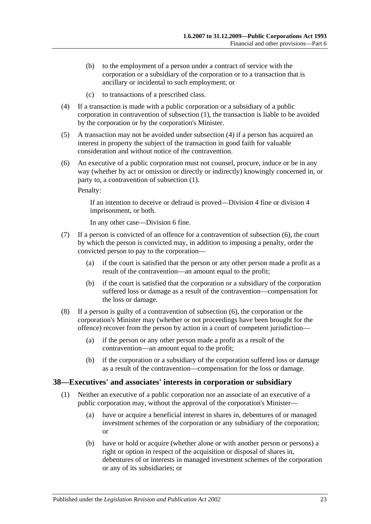- (b) to the employment of a person under a contract of service with the corporation or a subsidiary of the corporation or to a transaction that is ancillary or incidental to such employment; or
- (c) to transactions of a prescribed class.
- <span id="page-22-1"></span>(4) If a transaction is made with a public corporation or a subsidiary of a public corporation in contravention of [subsection](#page-21-1) (1), the transaction is liable to be avoided by the corporation or by the corporation's Minister.
- (5) A transaction may not be avoided under [subsection](#page-22-1) (4) if a person has acquired an interest in property the subject of the transaction in good faith for valuable consideration and without notice of the contravention.
- <span id="page-22-2"></span>(6) An executive of a public corporation must not counsel, procure, induce or be in any way (whether by act or omission or directly or indirectly) knowingly concerned in, or party to, a contravention of [subsection](#page-21-1) (1).

Penalty:

If an intention to deceive or defraud is proved—Division 4 fine or division 4 imprisonment, or both.

In any other case—Division 6 fine.

- (7) If a person is convicted of an offence for a contravention of [subsection](#page-22-2) (6), the court by which the person is convicted may, in addition to imposing a penalty, order the convicted person to pay to the corporation—
	- (a) if the court is satisfied that the person or any other person made a profit as a result of the contravention—an amount equal to the profit;
	- (b) if the court is satisfied that the corporation or a subsidiary of the corporation suffered loss or damage as a result of the contravention—compensation for the loss or damage.
- (8) If a person is guilty of a contravention of [subsection](#page-22-2) (6), the corporation or the corporation's Minister may (whether or not proceedings have been brought for the offence) recover from the person by action in a court of competent jurisdiction—
	- (a) if the person or any other person made a profit as a result of the contravention—an amount equal to the profit;
	- (b) if the corporation or a subsidiary of the corporation suffered loss or damage as a result of the contravention—compensation for the loss or damage.

#### <span id="page-22-3"></span><span id="page-22-0"></span>**38—Executives' and associates' interests in corporation or subsidiary**

- (1) Neither an executive of a public corporation nor an associate of an executive of a public corporation may, without the approval of the corporation's Minister—
	- (a) have or acquire a beneficial interest in shares in, debentures of or managed investment schemes of the corporation or any subsidiary of the corporation; or
	- (b) have or hold or acquire (whether alone or with another person or persons) a right or option in respect of the acquisition or disposal of shares in, debentures of or interests in managed investment schemes of the corporation or any of its subsidiaries; or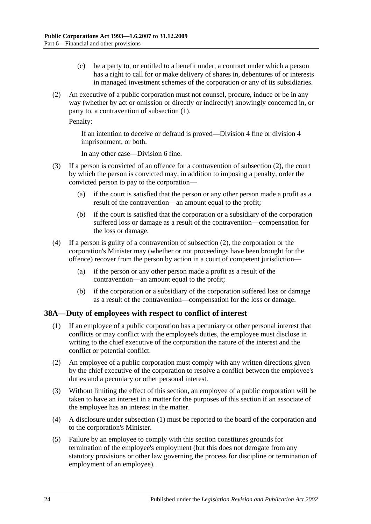- (c) be a party to, or entitled to a benefit under, a contract under which a person has a right to call for or make delivery of shares in, debentures of or interests in managed investment schemes of the corporation or any of its subsidiaries.
- <span id="page-23-1"></span>(2) An executive of a public corporation must not counsel, procure, induce or be in any way (whether by act or omission or directly or indirectly) knowingly concerned in, or party to, a contravention of [subsection](#page-22-3) (1).

Penalty:

If an intention to deceive or defraud is proved—Division 4 fine or division 4 imprisonment, or both.

In any other case—Division 6 fine.

- (3) If a person is convicted of an offence for a contravention of [subsection](#page-23-1) (2), the court by which the person is convicted may, in addition to imposing a penalty, order the convicted person to pay to the corporation—
	- (a) if the court is satisfied that the person or any other person made a profit as a result of the contravention—an amount equal to the profit;
	- (b) if the court is satisfied that the corporation or a subsidiary of the corporation suffered loss or damage as a result of the contravention—compensation for the loss or damage.
- (4) If a person is guilty of a contravention of [subsection](#page-23-1) (2), the corporation or the corporation's Minister may (whether or not proceedings have been brought for the offence) recover from the person by action in a court of competent jurisdiction—
	- (a) if the person or any other person made a profit as a result of the contravention—an amount equal to the profit;
	- (b) if the corporation or a subsidiary of the corporation suffered loss or damage as a result of the contravention—compensation for the loss or damage.

#### <span id="page-23-2"></span><span id="page-23-0"></span>**38A—Duty of employees with respect to conflict of interest**

- (1) If an employee of a public corporation has a pecuniary or other personal interest that conflicts or may conflict with the employee's duties, the employee must disclose in writing to the chief executive of the corporation the nature of the interest and the conflict or potential conflict.
- (2) An employee of a public corporation must comply with any written directions given by the chief executive of the corporation to resolve a conflict between the employee's duties and a pecuniary or other personal interest.
- (3) Without limiting the effect of this section, an employee of a public corporation will be taken to have an interest in a matter for the purposes of this section if an associate of the employee has an interest in the matter.
- (4) A disclosure under [subsection](#page-23-2) (1) must be reported to the board of the corporation and to the corporation's Minister.
- (5) Failure by an employee to comply with this section constitutes grounds for termination of the employee's employment (but this does not derogate from any statutory provisions or other law governing the process for discipline or termination of employment of an employee).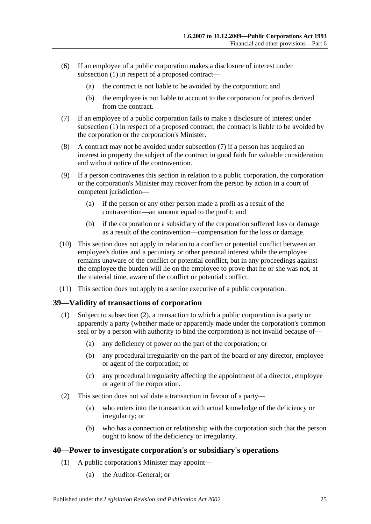- (6) If an employee of a public corporation makes a disclosure of interest under [subsection](#page-23-2) (1) in respect of a proposed contract—
	- (a) the contract is not liable to be avoided by the corporation; and
	- (b) the employee is not liable to account to the corporation for profits derived from the contract.
- <span id="page-24-2"></span>(7) If an employee of a public corporation fails to make a disclosure of interest under [subsection](#page-23-2) (1) in respect of a proposed contract, the contract is liable to be avoided by the corporation or the corporation's Minister.
- (8) A contract may not be avoided under [subsection](#page-24-2) (7) if a person has acquired an interest in property the subject of the contract in good faith for valuable consideration and without notice of the contravention.
- (9) If a person contravenes this section in relation to a public corporation, the corporation or the corporation's Minister may recover from the person by action in a court of competent jurisdiction—
	- (a) if the person or any other person made a profit as a result of the contravention—an amount equal to the profit; and
	- (b) if the corporation or a subsidiary of the corporation suffered loss or damage as a result of the contravention—compensation for the loss or damage.
- (10) This section does not apply in relation to a conflict or potential conflict between an employee's duties and a pecuniary or other personal interest while the employee remains unaware of the conflict or potential conflict, but in any proceedings against the employee the burden will lie on the employee to prove that he or she was not, at the material time, aware of the conflict or potential conflict.
- (11) This section does not apply to a senior executive of a public corporation.

#### <span id="page-24-0"></span>**39—Validity of transactions of corporation**

- (1) Subject to [subsection](#page-24-3) (2), a transaction to which a public corporation is a party or apparently a party (whether made or apparently made under the corporation's common seal or by a person with authority to bind the corporation) is not invalid because of—
	- (a) any deficiency of power on the part of the corporation; or
	- (b) any procedural irregularity on the part of the board or any director, employee or agent of the corporation; or
	- (c) any procedural irregularity affecting the appointment of a director, employee or agent of the corporation.
- <span id="page-24-3"></span>(2) This section does not validate a transaction in favour of a party—
	- (a) who enters into the transaction with actual knowledge of the deficiency or irregularity; or
	- (b) who has a connection or relationship with the corporation such that the person ought to know of the deficiency or irregularity.

#### <span id="page-24-1"></span>**40—Power to investigate corporation's or subsidiary's operations**

- (1) A public corporation's Minister may appoint—
	- (a) the Auditor-General; or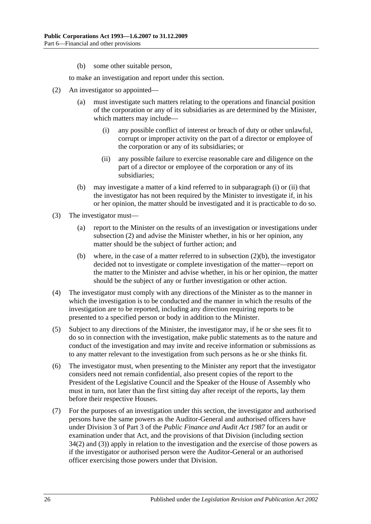(b) some other suitable person,

to make an investigation and report under this section.

- <span id="page-25-2"></span><span id="page-25-0"></span>(2) An investigator so appointed—
	- (a) must investigate such matters relating to the operations and financial position of the corporation or any of its subsidiaries as are determined by the Minister, which matters may include—
		- (i) any possible conflict of interest or breach of duty or other unlawful, corrupt or improper activity on the part of a director or employee of the corporation or any of its subsidiaries; or
		- (ii) any possible failure to exercise reasonable care and diligence on the part of a director or employee of the corporation or any of its subsidiaries;
	- (b) may investigate a matter of a kind referred to in [subparagraph](#page-25-0) (i) or [\(ii\)](#page-25-1) that the investigator has not been required by the Minister to investigate if, in his or her opinion, the matter should be investigated and it is practicable to do so.
- <span id="page-25-3"></span><span id="page-25-1"></span>(3) The investigator must—
	- (a) report to the Minister on the results of an investigation or investigations under [subsection](#page-25-2) (2) and advise the Minister whether, in his or her opinion, any matter should be the subject of further action; and
	- (b) where, in the case of a matter referred to in [subsection](#page-25-3) (2)(b), the investigator decided not to investigate or complete investigation of the matter—report on the matter to the Minister and advise whether, in his or her opinion, the matter should be the subject of any or further investigation or other action.
- (4) The investigator must comply with any directions of the Minister as to the manner in which the investigation is to be conducted and the manner in which the results of the investigation are to be reported, including any direction requiring reports to be presented to a specified person or body in addition to the Minister.
- (5) Subject to any directions of the Minister, the investigator may, if he or she sees fit to do so in connection with the investigation, make public statements as to the nature and conduct of the investigation and may invite and receive information or submissions as to any matter relevant to the investigation from such persons as he or she thinks fit.
- (6) The investigator must, when presenting to the Minister any report that the investigator considers need not remain confidential, also present copies of the report to the President of the Legislative Council and the Speaker of the House of Assembly who must in turn, not later than the first sitting day after receipt of the reports, lay them before their respective Houses.
- (7) For the purposes of an investigation under this section, the investigator and authorised persons have the same powers as the Auditor-General and authorised officers have under Division 3 of Part 3 of the *[Public Finance and Audit Act](http://www.legislation.sa.gov.au/index.aspx?action=legref&type=act&legtitle=Public%20Finance%20and%20Audit%20Act%201987) 1987* for an audit or examination under that Act, and the provisions of that Division (including section 34(2) and (3)) apply in relation to the investigation and the exercise of those powers as if the investigator or authorised person were the Auditor-General or an authorised officer exercising those powers under that Division.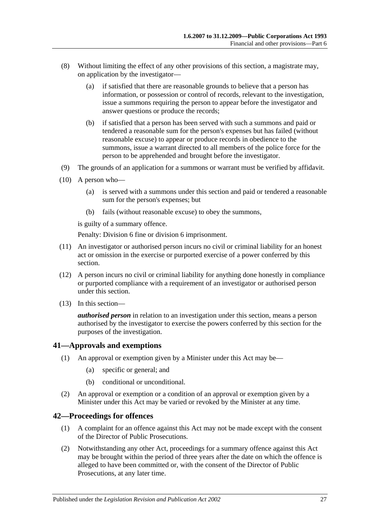- (8) Without limiting the effect of any other provisions of this section, a magistrate may, on application by the investigator—
	- (a) if satisfied that there are reasonable grounds to believe that a person has information, or possession or control of records, relevant to the investigation, issue a summons requiring the person to appear before the investigator and answer questions or produce the records;
	- (b) if satisfied that a person has been served with such a summons and paid or tendered a reasonable sum for the person's expenses but has failed (without reasonable excuse) to appear or produce records in obedience to the summons, issue a warrant directed to all members of the police force for the person to be apprehended and brought before the investigator.
- (9) The grounds of an application for a summons or warrant must be verified by affidavit.
- (10) A person who—
	- (a) is served with a summons under this section and paid or tendered a reasonable sum for the person's expenses; but
	- (b) fails (without reasonable excuse) to obey the summons,

is guilty of a summary offence.

Penalty: Division 6 fine or division 6 imprisonment.

- (11) An investigator or authorised person incurs no civil or criminal liability for an honest act or omission in the exercise or purported exercise of a power conferred by this section.
- (12) A person incurs no civil or criminal liability for anything done honestly in compliance or purported compliance with a requirement of an investigator or authorised person under this section.
- (13) In this section—

*authorised person* in relation to an investigation under this section, means a person authorised by the investigator to exercise the powers conferred by this section for the purposes of the investigation.

#### <span id="page-26-0"></span>**41—Approvals and exemptions**

- (1) An approval or exemption given by a Minister under this Act may be—
	- (a) specific or general; and
	- (b) conditional or unconditional.
- (2) An approval or exemption or a condition of an approval or exemption given by a Minister under this Act may be varied or revoked by the Minister at any time.

#### <span id="page-26-1"></span>**42—Proceedings for offences**

- (1) A complaint for an offence against this Act may not be made except with the consent of the Director of Public Prosecutions.
- (2) Notwithstanding any other Act, proceedings for a summary offence against this Act may be brought within the period of three years after the date on which the offence is alleged to have been committed or, with the consent of the Director of Public Prosecutions, at any later time.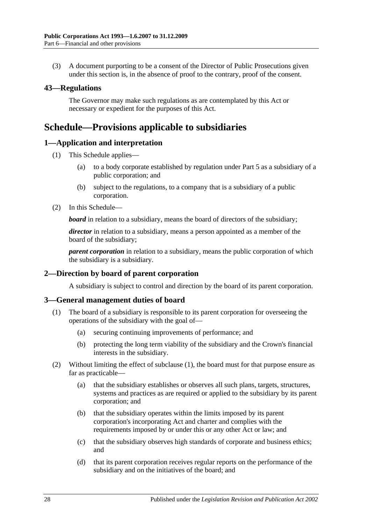(3) A document purporting to be a consent of the Director of Public Prosecutions given under this section is, in the absence of proof to the contrary, proof of the consent.

#### <span id="page-27-0"></span>**43—Regulations**

The Governor may make such regulations as are contemplated by this Act or necessary or expedient for the purposes of this Act.

### <span id="page-27-1"></span>**Schedule—Provisions applicable to subsidiaries**

#### <span id="page-27-2"></span>**1—Application and interpretation**

- (1) This Schedule applies—
	- (a) to a body corporate established by regulation under [Part 5](#page-13-3) as a subsidiary of a public corporation; and
	- (b) subject to the regulations, to a company that is a subsidiary of a public corporation.
- (2) In this Schedule—

**board** in relation to a subsidiary, means the board of directors of the subsidiary;

*director* in relation to a subsidiary, means a person appointed as a member of the board of the subsidiary;

*parent corporation* in relation to a subsidiary, means the public corporation of which the subsidiary is a subsidiary.

#### <span id="page-27-3"></span>**2—Direction by board of parent corporation**

A subsidiary is subject to control and direction by the board of its parent corporation.

#### <span id="page-27-5"></span><span id="page-27-4"></span>**3—General management duties of board**

- (1) The board of a subsidiary is responsible to its parent corporation for overseeing the operations of the subsidiary with the goal of—
	- (a) securing continuing improvements of performance; and
	- (b) protecting the long term viability of the subsidiary and the Crown's financial interests in the subsidiary.
- (2) Without limiting the effect of [subclause](#page-27-5) (1), the board must for that purpose ensure as far as practicable—
	- (a) that the subsidiary establishes or observes all such plans, targets, structures, systems and practices as are required or applied to the subsidiary by its parent corporation; and
	- (b) that the subsidiary operates within the limits imposed by its parent corporation's incorporating Act and charter and complies with the requirements imposed by or under this or any other Act or law; and
	- (c) that the subsidiary observes high standards of corporate and business ethics; and
	- (d) that its parent corporation receives regular reports on the performance of the subsidiary and on the initiatives of the board; and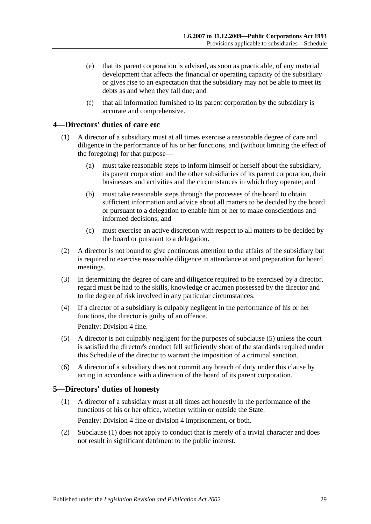- (e) that its parent corporation is advised, as soon as practicable, of any material development that affects the financial or operating capacity of the subsidiary or gives rise to an expectation that the subsidiary may not be able to meet its debts as and when they fall due; and
- (f) that all information furnished to its parent corporation by the subsidiary is accurate and comprehensive.

#### <span id="page-28-0"></span>**4—Directors' duties of care etc**

- (1) A director of a subsidiary must at all times exercise a reasonable degree of care and diligence in the performance of his or her functions, and (without limiting the effect of the foregoing) for that purpose—
	- (a) must take reasonable steps to inform himself or herself about the subsidiary, its parent corporation and the other subsidiaries of its parent corporation, their businesses and activities and the circumstances in which they operate; and
	- (b) must take reasonable steps through the processes of the board to obtain sufficient information and advice about all matters to be decided by the board or pursuant to a delegation to enable him or her to make conscientious and informed decisions; and
	- (c) must exercise an active discretion with respect to all matters to be decided by the board or pursuant to a delegation.
- (2) A director is not bound to give continuous attention to the affairs of the subsidiary but is required to exercise reasonable diligence in attendance at and preparation for board meetings.
- (3) In determining the degree of care and diligence required to be exercised by a director, regard must be had to the skills, knowledge or acumen possessed by the director and to the degree of risk involved in any particular circumstances.
- (4) If a director of a subsidiary is culpably negligent in the performance of his or her functions, the director is guilty of an offence.

Penalty: Division 4 fine.

- (5) A director is not culpably negligent for the purposes of subclause (5) unless the court is satisfied the director's conduct fell sufficiently short of the standards required under this Schedule of the director to warrant the imposition of a criminal sanction.
- (6) A director of a subsidiary does not commit any breach of duty under this clause by acting in accordance with a direction of the board of its parent corporation.

#### <span id="page-28-2"></span><span id="page-28-1"></span>**5—Directors' duties of honesty**

- (1) A director of a subsidiary must at all times act honestly in the performance of the functions of his or her office, whether within or outside the State. Penalty: Division 4 fine or division 4 imprisonment, or both.
- (2) [Subclause](#page-28-2) (1) does not apply to conduct that is merely of a trivial character and does not result in significant detriment to the public interest.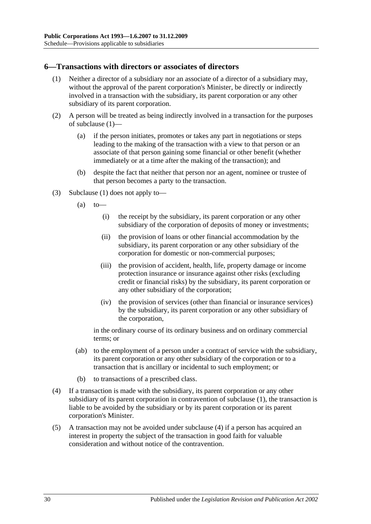#### <span id="page-29-1"></span><span id="page-29-0"></span>**6—Transactions with directors or associates of directors**

- (1) Neither a director of a subsidiary nor an associate of a director of a subsidiary may, without the approval of the parent corporation's Minister, be directly or indirectly involved in a transaction with the subsidiary, its parent corporation or any other subsidiary of its parent corporation.
- (2) A person will be treated as being indirectly involved in a transaction for the purposes of [subclause](#page-29-1) (1)—
	- (a) if the person initiates, promotes or takes any part in negotiations or steps leading to the making of the transaction with a view to that person or an associate of that person gaining some financial or other benefit (whether immediately or at a time after the making of the transaction); and
	- (b) despite the fact that neither that person nor an agent, nominee or trustee of that person becomes a party to the transaction.
- (3) [Subclause](#page-29-1) (1) does not apply to—
	- $(a)$  to
		- (i) the receipt by the subsidiary, its parent corporation or any other subsidiary of the corporation of deposits of money or investments;
		- (ii) the provision of loans or other financial accommodation by the subsidiary, its parent corporation or any other subsidiary of the corporation for domestic or non-commercial purposes;
		- (iii) the provision of accident, health, life, property damage or income protection insurance or insurance against other risks (excluding credit or financial risks) by the subsidiary, its parent corporation or any other subsidiary of the corporation;
		- (iv) the provision of services (other than financial or insurance services) by the subsidiary, its parent corporation or any other subsidiary of the corporation,

in the ordinary course of its ordinary business and on ordinary commercial terms; or

- (ab) to the employment of a person under a contract of service with the subsidiary, its parent corporation or any other subsidiary of the corporation or to a transaction that is ancillary or incidental to such employment; or
- (b) to transactions of a prescribed class.
- <span id="page-29-2"></span>(4) If a transaction is made with the subsidiary, its parent corporation or any other subsidiary of its parent corporation in contravention of [subclause](#page-29-1) (1), the transaction is liable to be avoided by the subsidiary or by its parent corporation or its parent corporation's Minister.
- (5) A transaction may not be avoided under [subclause](#page-29-2) (4) if a person has acquired an interest in property the subject of the transaction in good faith for valuable consideration and without notice of the contravention.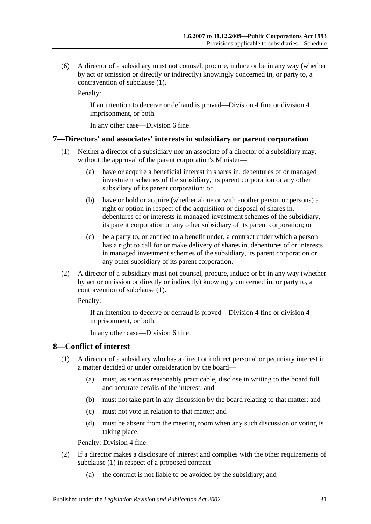(6) A director of a subsidiary must not counsel, procure, induce or be in any way (whether by act or omission or directly or indirectly) knowingly concerned in, or party to, a contravention of [subclause](#page-29-1) (1).

Penalty:

If an intention to deceive or defraud is proved—Division 4 fine or division 4 imprisonment, or both.

In any other case—Division 6 fine.

#### <span id="page-30-2"></span><span id="page-30-0"></span>**7—Directors' and associates' interests in subsidiary or parent corporation**

- (1) Neither a director of a subsidiary nor an associate of a director of a subsidiary may, without the approval of the parent corporation's Minister—
	- (a) have or acquire a beneficial interest in shares in, debentures of or managed investment schemes of the subsidiary, its parent corporation or any other subsidiary of its parent corporation; or
	- (b) have or hold or acquire (whether alone or with another person or persons) a right or option in respect of the acquisition or disposal of shares in, debentures of or interests in managed investment schemes of the subsidiary, its parent corporation or any other subsidiary of its parent corporation; or
	- (c) be a party to, or entitled to a benefit under, a contract under which a person has a right to call for or make delivery of shares in, debentures of or interests in managed investment schemes of the subsidiary, its parent corporation or any other subsidiary of its parent corporation.
- (2) A director of a subsidiary must not counsel, procure, induce or be in any way (whether by act or omission or directly or indirectly) knowingly concerned in, or party to, a contravention of [subclause](#page-30-2) (1).

Penalty:

If an intention to deceive or defraud is proved—Division 4 fine or division 4 imprisonment, or both.

In any other case—Division 6 fine.

#### <span id="page-30-3"></span><span id="page-30-1"></span>**8—Conflict of interest**

- (1) A director of a subsidiary who has a direct or indirect personal or pecuniary interest in a matter decided or under consideration by the board—
	- (a) must, as soon as reasonably practicable, disclose in writing to the board full and accurate details of the interest; and
	- (b) must not take part in any discussion by the board relating to that matter; and
	- (c) must not vote in relation to that matter; and
	- (d) must be absent from the meeting room when any such discussion or voting is taking place.

Penalty: Division 4 fine.

- (2) If a director makes a disclosure of interest and complies with the other requirements of [subclause](#page-30-3) (1) in respect of a proposed contract—
	- (a) the contract is not liable to be avoided by the subsidiary; and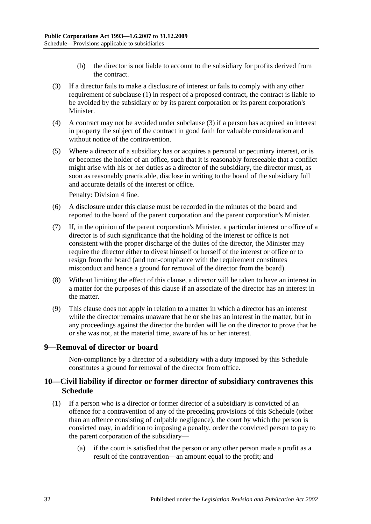- (b) the director is not liable to account to the subsidiary for profits derived from the contract.
- <span id="page-31-2"></span>(3) If a director fails to make a disclosure of interest or fails to comply with any other requirement of [subclause](#page-30-3) (1) in respect of a proposed contract, the contract is liable to be avoided by the subsidiary or by its parent corporation or its parent corporation's Minister.
- (4) A contract may not be avoided under [subclause](#page-31-2) (3) if a person has acquired an interest in property the subject of the contract in good faith for valuable consideration and without notice of the contravention.
- (5) Where a director of a subsidiary has or acquires a personal or pecuniary interest, or is or becomes the holder of an office, such that it is reasonably foreseeable that a conflict might arise with his or her duties as a director of the subsidiary, the director must, as soon as reasonably practicable, disclose in writing to the board of the subsidiary full and accurate details of the interest or office.

Penalty: Division 4 fine.

- (6) A disclosure under this clause must be recorded in the minutes of the board and reported to the board of the parent corporation and the parent corporation's Minister.
- (7) If, in the opinion of the parent corporation's Minister, a particular interest or office of a director is of such significance that the holding of the interest or office is not consistent with the proper discharge of the duties of the director, the Minister may require the director either to divest himself or herself of the interest or office or to resign from the board (and non-compliance with the requirement constitutes misconduct and hence a ground for removal of the director from the board).
- (8) Without limiting the effect of this clause, a director will be taken to have an interest in a matter for the purposes of this clause if an associate of the director has an interest in the matter.
- (9) This clause does not apply in relation to a matter in which a director has an interest while the director remains unaware that he or she has an interest in the matter, but in any proceedings against the director the burden will lie on the director to prove that he or she was not, at the material time, aware of his or her interest.

#### <span id="page-31-0"></span>**9—Removal of director or board**

Non-compliance by a director of a subsidiary with a duty imposed by this Schedule constitutes a ground for removal of the director from office.

#### <span id="page-31-1"></span>**10—Civil liability if director or former director of subsidiary contravenes this Schedule**

- (1) If a person who is a director or former director of a subsidiary is convicted of an offence for a contravention of any of the preceding provisions of this Schedule (other than an offence consisting of culpable negligence), the court by which the person is convicted may, in addition to imposing a penalty, order the convicted person to pay to the parent corporation of the subsidiary—
	- (a) if the court is satisfied that the person or any other person made a profit as a result of the contravention—an amount equal to the profit; and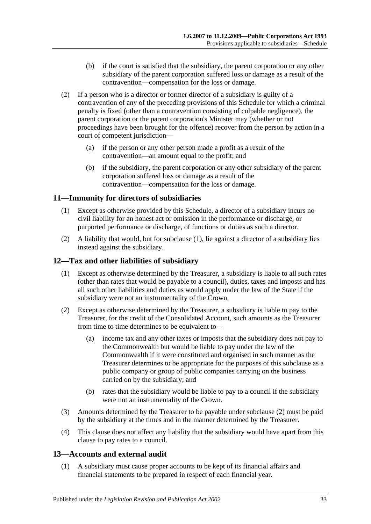- (b) if the court is satisfied that the subsidiary, the parent corporation or any other subsidiary of the parent corporation suffered loss or damage as a result of the contravention—compensation for the loss or damage.
- (2) If a person who is a director or former director of a subsidiary is guilty of a contravention of any of the preceding provisions of this Schedule for which a criminal penalty is fixed (other than a contravention consisting of culpable negligence), the parent corporation or the parent corporation's Minister may (whether or not proceedings have been brought for the offence) recover from the person by action in a court of competent jurisdiction—
	- (a) if the person or any other person made a profit as a result of the contravention—an amount equal to the profit; and
	- (b) if the subsidiary, the parent corporation or any other subsidiary of the parent corporation suffered loss or damage as a result of the contravention—compensation for the loss or damage.

#### <span id="page-32-3"></span><span id="page-32-0"></span>**11—Immunity for directors of subsidiaries**

- (1) Except as otherwise provided by this Schedule, a director of a subsidiary incurs no civil liability for an honest act or omission in the performance or discharge, or purported performance or discharge, of functions or duties as such a director.
- (2) A liability that would, but for [subclause](#page-32-3) (1), lie against a director of a subsidiary lies instead against the subsidiary.

#### <span id="page-32-1"></span>**12—Tax and other liabilities of subsidiary**

- (1) Except as otherwise determined by the Treasurer, a subsidiary is liable to all such rates (other than rates that would be payable to a council), duties, taxes and imposts and has all such other liabilities and duties as would apply under the law of the State if the subsidiary were not an instrumentality of the Crown.
- <span id="page-32-4"></span>(2) Except as otherwise determined by the Treasurer, a subsidiary is liable to pay to the Treasurer, for the credit of the Consolidated Account, such amounts as the Treasurer from time to time determines to be equivalent to—
	- (a) income tax and any other taxes or imposts that the subsidiary does not pay to the Commonwealth but would be liable to pay under the law of the Commonwealth if it were constituted and organised in such manner as the Treasurer determines to be appropriate for the purposes of this subclause as a public company or group of public companies carrying on the business carried on by the subsidiary; and
	- (b) rates that the subsidiary would be liable to pay to a council if the subsidiary were not an instrumentality of the Crown.
- (3) Amounts determined by the Treasurer to be payable under [subclause](#page-32-4) (2) must be paid by the subsidiary at the times and in the manner determined by the Treasurer.
- (4) This clause does not affect any liability that the subsidiary would have apart from this clause to pay rates to a council.

#### <span id="page-32-2"></span>**13—Accounts and external audit**

(1) A subsidiary must cause proper accounts to be kept of its financial affairs and financial statements to be prepared in respect of each financial year.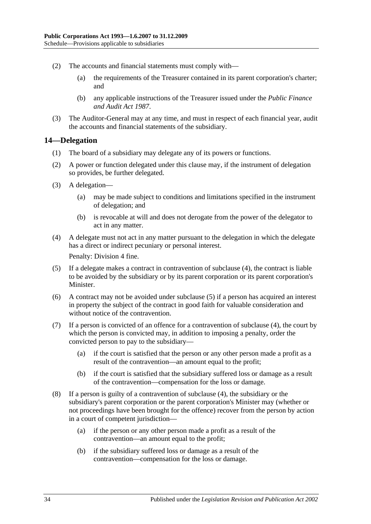- (2) The accounts and financial statements must comply with—
	- (a) the requirements of the Treasurer contained in its parent corporation's charter; and
	- (b) any applicable instructions of the Treasurer issued under the *[Public Finance](http://www.legislation.sa.gov.au/index.aspx?action=legref&type=act&legtitle=Public%20Finance%20and%20Audit%20Act%201987)  [and Audit Act](http://www.legislation.sa.gov.au/index.aspx?action=legref&type=act&legtitle=Public%20Finance%20and%20Audit%20Act%201987) 1987*.
- (3) The Auditor-General may at any time, and must in respect of each financial year, audit the accounts and financial statements of the subsidiary.

#### <span id="page-33-0"></span>**14—Delegation**

- (1) The board of a subsidiary may delegate any of its powers or functions.
- (2) A power or function delegated under this clause may, if the instrument of delegation so provides, be further delegated.
- (3) A delegation—
	- (a) may be made subject to conditions and limitations specified in the instrument of delegation; and
	- (b) is revocable at will and does not derogate from the power of the delegator to act in any matter.
- <span id="page-33-1"></span>(4) A delegate must not act in any matter pursuant to the delegation in which the delegate has a direct or indirect pecuniary or personal interest.

Penalty: Division 4 fine.

- <span id="page-33-2"></span>(5) If a delegate makes a contract in contravention of [subclause](#page-33-1) (4), the contract is liable to be avoided by the subsidiary or by its parent corporation or its parent corporation's Minister.
- (6) A contract may not be avoided under [subclause](#page-33-2) (5) if a person has acquired an interest in property the subject of the contract in good faith for valuable consideration and without notice of the contravention.
- (7) If a person is convicted of an offence for a contravention of [subclause](#page-33-1) (4), the court by which the person is convicted may, in addition to imposing a penalty, order the convicted person to pay to the subsidiary—
	- (a) if the court is satisfied that the person or any other person made a profit as a result of the contravention—an amount equal to the profit;
	- (b) if the court is satisfied that the subsidiary suffered loss or damage as a result of the contravention—compensation for the loss or damage.
- (8) If a person is guilty of a contravention of [subclause](#page-33-1) (4), the subsidiary or the subsidiary's parent corporation or the parent corporation's Minister may (whether or not proceedings have been brought for the offence) recover from the person by action in a court of competent jurisdiction—
	- (a) if the person or any other person made a profit as a result of the contravention—an amount equal to the profit;
	- (b) if the subsidiary suffered loss or damage as a result of the contravention—compensation for the loss or damage.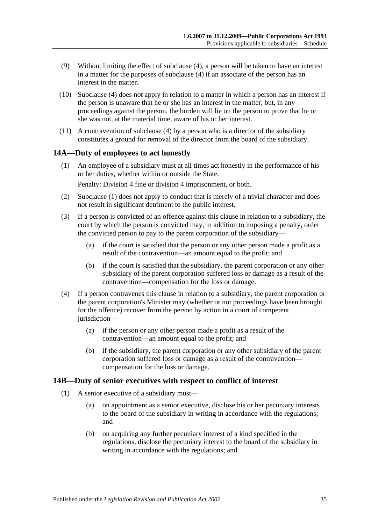- (9) Without limiting the effect of [subclause](#page-33-1) (4), a person will be taken to have an interest in a matter for the purposes of [subclause](#page-33-1) (4) if an associate of the person has an interest in the matter.
- (10) [Subclause](#page-33-1) (4) does not apply in relation to a matter in which a person has an interest if the person is unaware that he or she has an interest in the matter, but, in any proceedings against the person, the burden will lie on the person to prove that he or she was not, at the material time, aware of his or her interest.
- (11) A contravention of [subclause](#page-33-1) (4) by a person who is a director of the subsidiary constitutes a ground for removal of the director from the board of the subsidiary.

#### <span id="page-34-2"></span><span id="page-34-0"></span>**14A—Duty of employees to act honestly**

(1) An employee of a subsidiary must at all times act honestly in the performance of his or her duties, whether within or outside the State.

Penalty: Division 4 fine or division 4 imprisonment, or both.

- (2) [Subclause](#page-34-2) (1) does not apply to conduct that is merely of a trivial character and does not result in significant detriment to the public interest.
- (3) If a person is convicted of an offence against this clause in relation to a subsidiary, the court by which the person is convicted may, in addition to imposing a penalty, order the convicted person to pay to the parent corporation of the subsidiary—
	- (a) if the court is satisfied that the person or any other person made a profit as a result of the contravention—an amount equal to the profit; and
	- (b) if the court is satisfied that the subsidiary, the parent corporation or any other subsidiary of the parent corporation suffered loss or damage as a result of the contravention—compensation for the loss or damage.
- (4) If a person contravenes this clause in relation to a subsidiary, the parent corporation or the parent corporation's Minister may (whether or not proceedings have been brought for the offence) recover from the person by action in a court of competent jurisdiction—
	- (a) if the person or any other person made a profit as a result of the contravention—an amount equal to the profit; and
	- (b) if the subsidiary, the parent corporation or any other subsidiary of the parent corporation suffered loss or damage as a result of the contravention compensation for the loss or damage.

#### <span id="page-34-5"></span><span id="page-34-1"></span>**14B—Duty of senior executives with respect to conflict of interest**

- <span id="page-34-4"></span><span id="page-34-3"></span>(1) A senior executive of a subsidiary must—
	- (a) on appointment as a senior executive, disclose his or her pecuniary interests to the board of the subsidiary in writing in accordance with the regulations; and
	- (b) on acquiring any further pecuniary interest of a kind specified in the regulations, disclose the pecuniary interest to the board of the subsidiary in writing in accordance with the regulations; and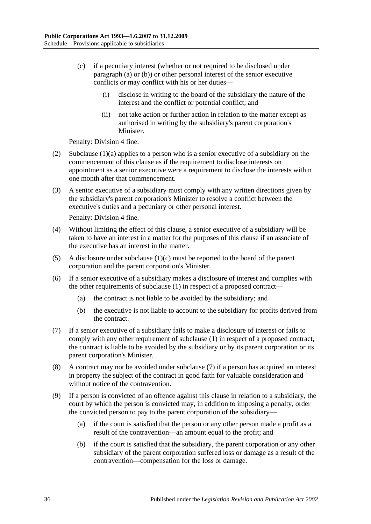- <span id="page-35-0"></span>(c) if a pecuniary interest (whether or not required to be disclosed under [paragraph](#page-34-3) (a) or [\(b\)\)](#page-34-4) or other personal interest of the senior executive conflicts or may conflict with his or her duties—
	- (i) disclose in writing to the board of the subsidiary the nature of the interest and the conflict or potential conflict; and
	- (ii) not take action or further action in relation to the matter except as authorised in writing by the subsidiary's parent corporation's Minister.

Penalty: Division 4 fine.

- (2) [Subclause](#page-34-3) (1)(a) applies to a person who is a senior executive of a subsidiary on the commencement of this clause as if the requirement to disclose interests on appointment as a senior executive were a requirement to disclose the interests within one month after that commencement.
- (3) A senior executive of a subsidiary must comply with any written directions given by the subsidiary's parent corporation's Minister to resolve a conflict between the executive's duties and a pecuniary or other personal interest.

Penalty: Division 4 fine.

- (4) Without limiting the effect of this clause, a senior executive of a subsidiary will be taken to have an interest in a matter for the purposes of this clause if an associate of the executive has an interest in the matter.
- (5) A disclosure under [subclause](#page-35-0)  $(1)(c)$  must be reported to the board of the parent corporation and the parent corporation's Minister.
- (6) If a senior executive of a subsidiary makes a disclosure of interest and complies with the other requirements of [subclause](#page-34-5) (1) in respect of a proposed contract—
	- (a) the contract is not liable to be avoided by the subsidiary; and
	- (b) the executive is not liable to account to the subsidiary for profits derived from the contract.
- <span id="page-35-1"></span>(7) If a senior executive of a subsidiary fails to make a disclosure of interest or fails to comply with any other requirement of [subclause](#page-34-5) (1) in respect of a proposed contract, the contract is liable to be avoided by the subsidiary or by its parent corporation or its parent corporation's Minister.
- (8) A contract may not be avoided under [subclause](#page-35-1) (7) if a person has acquired an interest in property the subject of the contract in good faith for valuable consideration and without notice of the contravention.
- (9) If a person is convicted of an offence against this clause in relation to a subsidiary, the court by which the person is convicted may, in addition to imposing a penalty, order the convicted person to pay to the parent corporation of the subsidiary—
	- (a) if the court is satisfied that the person or any other person made a profit as a result of the contravention—an amount equal to the profit; and
	- (b) if the court is satisfied that the subsidiary, the parent corporation or any other subsidiary of the parent corporation suffered loss or damage as a result of the contravention—compensation for the loss or damage.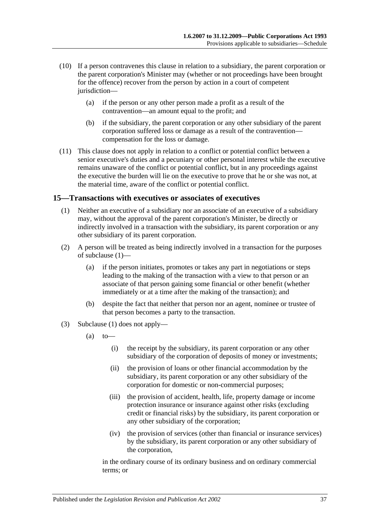- (10) If a person contravenes this clause in relation to a subsidiary, the parent corporation or the parent corporation's Minister may (whether or not proceedings have been brought for the offence) recover from the person by action in a court of competent jurisdiction—
	- (a) if the person or any other person made a profit as a result of the contravention—an amount equal to the profit; and
	- (b) if the subsidiary, the parent corporation or any other subsidiary of the parent corporation suffered loss or damage as a result of the contravention compensation for the loss or damage.
- (11) This clause does not apply in relation to a conflict or potential conflict between a senior executive's duties and a pecuniary or other personal interest while the executive remains unaware of the conflict or potential conflict, but in any proceedings against the executive the burden will lie on the executive to prove that he or she was not, at the material time, aware of the conflict or potential conflict.

#### <span id="page-36-1"></span><span id="page-36-0"></span>**15—Transactions with executives or associates of executives**

- (1) Neither an executive of a subsidiary nor an associate of an executive of a subsidiary may, without the approval of the parent corporation's Minister, be directly or indirectly involved in a transaction with the subsidiary, its parent corporation or any other subsidiary of its parent corporation.
- (2) A person will be treated as being indirectly involved in a transaction for the purposes of [subclause](#page-36-1) (1)—
	- (a) if the person initiates, promotes or takes any part in negotiations or steps leading to the making of the transaction with a view to that person or an associate of that person gaining some financial or other benefit (whether immediately or at a time after the making of the transaction); and
	- (b) despite the fact that neither that person nor an agent, nominee or trustee of that person becomes a party to the transaction.
- (3) [Subclause](#page-36-1) (1) does not apply—
	- $(a)$  to
		- (i) the receipt by the subsidiary, its parent corporation or any other subsidiary of the corporation of deposits of money or investments;
		- (ii) the provision of loans or other financial accommodation by the subsidiary, its parent corporation or any other subsidiary of the corporation for domestic or non-commercial purposes;
		- (iii) the provision of accident, health, life, property damage or income protection insurance or insurance against other risks (excluding credit or financial risks) by the subsidiary, its parent corporation or any other subsidiary of the corporation;
		- (iv) the provision of services (other than financial or insurance services) by the subsidiary, its parent corporation or any other subsidiary of the corporation,

in the ordinary course of its ordinary business and on ordinary commercial terms; or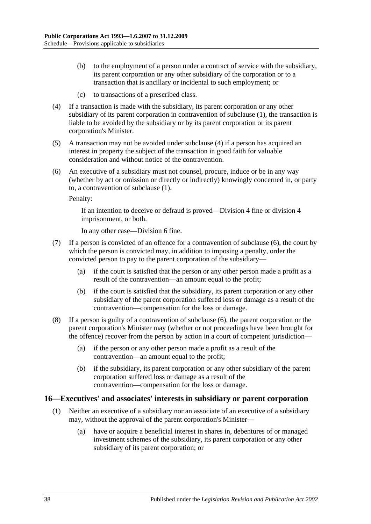- (b) to the employment of a person under a contract of service with the subsidiary, its parent corporation or any other subsidiary of the corporation or to a transaction that is ancillary or incidental to such employment; or
- (c) to transactions of a prescribed class.
- <span id="page-37-1"></span>(4) If a transaction is made with the subsidiary, its parent corporation or any other subsidiary of its parent corporation in contravention of [subclause](#page-36-1) (1), the transaction is liable to be avoided by the subsidiary or by its parent corporation or its parent corporation's Minister.
- (5) A transaction may not be avoided under [subclause](#page-37-1) (4) if a person has acquired an interest in property the subject of the transaction in good faith for valuable consideration and without notice of the contravention.
- <span id="page-37-2"></span>(6) An executive of a subsidiary must not counsel, procure, induce or be in any way (whether by act or omission or directly or indirectly) knowingly concerned in, or party to, a contravention of [subclause](#page-36-1) (1).

Penalty:

If an intention to deceive or defraud is proved—Division 4 fine or division 4 imprisonment, or both.

In any other case—Division 6 fine.

- (7) If a person is convicted of an offence for a contravention of [subclause](#page-37-2) (6), the court by which the person is convicted may, in addition to imposing a penalty, order the convicted person to pay to the parent corporation of the subsidiary—
	- (a) if the court is satisfied that the person or any other person made a profit as a result of the contravention—an amount equal to the profit;
	- (b) if the court is satisfied that the subsidiary, its parent corporation or any other subsidiary of the parent corporation suffered loss or damage as a result of the contravention—compensation for the loss or damage.
- (8) If a person is guilty of a contravention of [subclause](#page-37-2) (6), the parent corporation or the parent corporation's Minister may (whether or not proceedings have been brought for the offence) recover from the person by action in a court of competent jurisdiction—
	- (a) if the person or any other person made a profit as a result of the contravention—an amount equal to the profit;
	- (b) if the subsidiary, its parent corporation or any other subsidiary of the parent corporation suffered loss or damage as a result of the contravention—compensation for the loss or damage.

#### <span id="page-37-3"></span><span id="page-37-0"></span>**16—Executives' and associates' interests in subsidiary or parent corporation**

- (1) Neither an executive of a subsidiary nor an associate of an executive of a subsidiary may, without the approval of the parent corporation's Minister—
	- (a) have or acquire a beneficial interest in shares in, debentures of or managed investment schemes of the subsidiary, its parent corporation or any other subsidiary of its parent corporation; or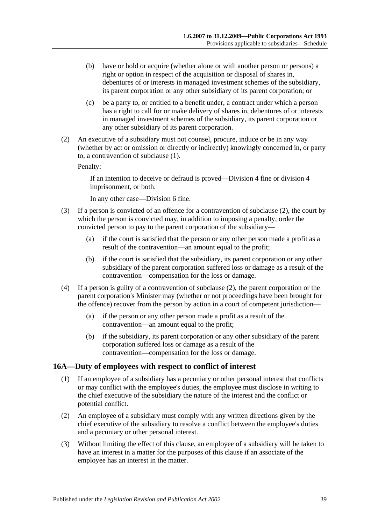- (b) have or hold or acquire (whether alone or with another person or persons) a right or option in respect of the acquisition or disposal of shares in, debentures of or interests in managed investment schemes of the subsidiary, its parent corporation or any other subsidiary of its parent corporation; or
- (c) be a party to, or entitled to a benefit under, a contract under which a person has a right to call for or make delivery of shares in, debentures of or interests in managed investment schemes of the subsidiary, its parent corporation or any other subsidiary of its parent corporation.
- <span id="page-38-1"></span>(2) An executive of a subsidiary must not counsel, procure, induce or be in any way (whether by act or omission or directly or indirectly) knowingly concerned in, or party to, a contravention of [subclause](#page-37-3) (1).

Penalty:

If an intention to deceive or defraud is proved—Division 4 fine or division 4 imprisonment, or both.

In any other case—Division 6 fine.

- (3) If a person is convicted of an offence for a contravention of [subclause](#page-38-1) (2), the court by which the person is convicted may, in addition to imposing a penalty, order the convicted person to pay to the parent corporation of the subsidiary—
	- (a) if the court is satisfied that the person or any other person made a profit as a result of the contravention—an amount equal to the profit;
	- (b) if the court is satisfied that the subsidiary, its parent corporation or any other subsidiary of the parent corporation suffered loss or damage as a result of the contravention—compensation for the loss or damage.
- (4) If a person is guilty of a contravention of [subclause](#page-38-1) (2), the parent corporation or the parent corporation's Minister may (whether or not proceedings have been brought for the offence) recover from the person by action in a court of competent jurisdiction—
	- (a) if the person or any other person made a profit as a result of the contravention—an amount equal to the profit;
	- (b) if the subsidiary, its parent corporation or any other subsidiary of the parent corporation suffered loss or damage as a result of the contravention—compensation for the loss or damage.

#### <span id="page-38-2"></span><span id="page-38-0"></span>**16A—Duty of employees with respect to conflict of interest**

- (1) If an employee of a subsidiary has a pecuniary or other personal interest that conflicts or may conflict with the employee's duties, the employee must disclose in writing to the chief executive of the subsidiary the nature of the interest and the conflict or potential conflict.
- (2) An employee of a subsidiary must comply with any written directions given by the chief executive of the subsidiary to resolve a conflict between the employee's duties and a pecuniary or other personal interest.
- (3) Without limiting the effect of this clause, an employee of a subsidiary will be taken to have an interest in a matter for the purposes of this clause if an associate of the employee has an interest in the matter.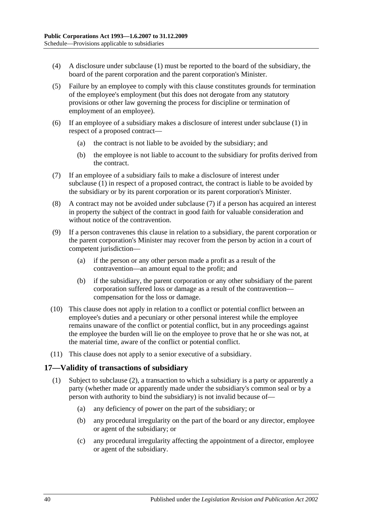- (4) A disclosure under [subclause](#page-38-2) (1) must be reported to the board of the subsidiary, the board of the parent corporation and the parent corporation's Minister.
- (5) Failure by an employee to comply with this clause constitutes grounds for termination of the employee's employment (but this does not derogate from any statutory provisions or other law governing the process for discipline or termination of employment of an employee).
- (6) If an employee of a subsidiary makes a disclosure of interest under [subclause](#page-38-2) (1) in respect of a proposed contract—
	- (a) the contract is not liable to be avoided by the subsidiary; and
	- (b) the employee is not liable to account to the subsidiary for profits derived from the contract.
- <span id="page-39-1"></span>(7) If an employee of a subsidiary fails to make a disclosure of interest under [subclause](#page-38-2) (1) in respect of a proposed contract, the contract is liable to be avoided by the subsidiary or by its parent corporation or its parent corporation's Minister.
- (8) A contract may not be avoided under [subclause](#page-39-1) (7) if a person has acquired an interest in property the subject of the contract in good faith for valuable consideration and without notice of the contravention.
- (9) If a person contravenes this clause in relation to a subsidiary, the parent corporation or the parent corporation's Minister may recover from the person by action in a court of competent jurisdiction—
	- (a) if the person or any other person made a profit as a result of the contravention—an amount equal to the profit; and
	- (b) if the subsidiary, the parent corporation or any other subsidiary of the parent corporation suffered loss or damage as a result of the contravention compensation for the loss or damage.
- (10) This clause does not apply in relation to a conflict or potential conflict between an employee's duties and a pecuniary or other personal interest while the employee remains unaware of the conflict or potential conflict, but in any proceedings against the employee the burden will lie on the employee to prove that he or she was not, at the material time, aware of the conflict or potential conflict.
- (11) This clause does not apply to a senior executive of a subsidiary.

#### <span id="page-39-0"></span>**17—Validity of transactions of subsidiary**

- (1) Subject to [subclause](#page-40-0) (2), a transaction to which a subsidiary is a party or apparently a party (whether made or apparently made under the subsidiary's common seal or by a person with authority to bind the subsidiary) is not invalid because of—
	- (a) any deficiency of power on the part of the subsidiary; or
	- (b) any procedural irregularity on the part of the board or any director, employee or agent of the subsidiary; or
	- (c) any procedural irregularity affecting the appointment of a director, employee or agent of the subsidiary.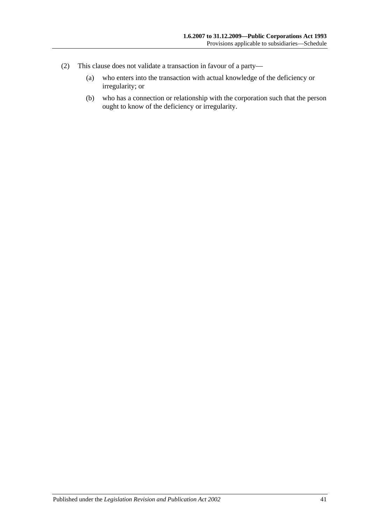- <span id="page-40-0"></span>(2) This clause does not validate a transaction in favour of a party—
	- (a) who enters into the transaction with actual knowledge of the deficiency or irregularity; or
	- (b) who has a connection or relationship with the corporation such that the person ought to know of the deficiency or irregularity.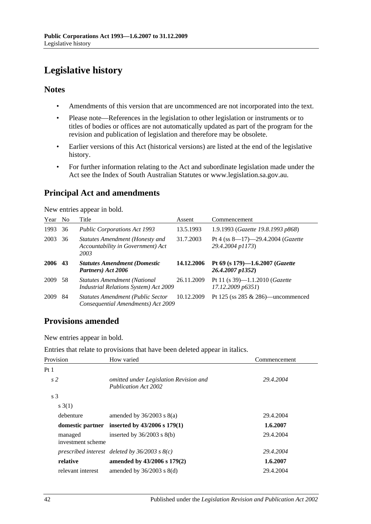# <span id="page-41-0"></span>**Legislative history**

#### **Notes**

- Amendments of this version that are uncommenced are not incorporated into the text.
- Please note—References in the legislation to other legislation or instruments or to titles of bodies or offices are not automatically updated as part of the program for the revision and publication of legislation and therefore may be obsolete.
- Earlier versions of this Act (historical versions) are listed at the end of the legislative history.
- For further information relating to the Act and subordinate legislation made under the Act see the Index of South Australian Statutes or www.legislation.sa.gov.au.

# **Principal Act and amendments**

New entries appear in bold.

| Year | N <sub>0</sub> | Title                                                                          | Assent     | Commencement                                                     |
|------|----------------|--------------------------------------------------------------------------------|------------|------------------------------------------------------------------|
| 1993 | 36             | <b>Public Corporations Act 1993</b>                                            | 13.5.1993  | 1.9.1993 (Gazette 19.8.1993 p868)                                |
| 2003 | 36             | Statutes Amendment (Honesty and<br>Accountability in Government) Act<br>2003   | 31.7.2003  | Pt 4 (ss $8-17$ )-29.4.2004 ( <i>Gazette</i><br>29.4.2004 p1173) |
| 2006 | 43             | <b>Statutes Amendment (Domestic</b><br>Partners) Act 2006                      | 14.12.2006 | Pt 69 (s 179)-1.6.2007 (Gazette<br>26.4.2007 p1352)              |
| 2009 | .58            | <b>Statutes Amendment (National</b><br>Industrial Relations System) Act 2009   | 26.11.2009 | Pt 11 (s $39$ )-1.1.2010 ( <i>Gazette</i><br>17.12.2009 p6351    |
| 2009 | 84             | <b>Statutes Amendment (Public Sector</b><br>Consequential Amendments) Act 2009 | 10.12.2009 | Pt 125 (ss $285 \& 286$ )—uncommenced                            |

# **Provisions amended**

New entries appear in bold.

Entries that relate to provisions that have been deleted appear in italics.

| Provision                    | How varied                                                            | Commencement |
|------------------------------|-----------------------------------------------------------------------|--------------|
| Pt1                          |                                                                       |              |
| s <sub>2</sub>               | omitted under Legislation Revision and<br><b>Publication Act 2002</b> | 29.4.2004    |
| s <sub>3</sub>               |                                                                       |              |
| s(3(1))                      |                                                                       |              |
| debenture                    | amended by $36/2003$ s $8(a)$                                         | 29.4.2004    |
|                              | domestic partner inserted by $43/2006$ s $179(1)$                     | 1.6.2007     |
| managed<br>investment scheme | inserted by $36/2003$ s $8(b)$                                        | 29.4.2004    |
|                              | prescribed interest deleted by $36/2003$ s $8(c)$                     | 29.4.2004    |
| relative                     | amended by 43/2006 s 179(2)                                           | 1.6.2007     |
| relevant interest            | amended by $36/2003$ s $8(d)$                                         | 29.4.2004    |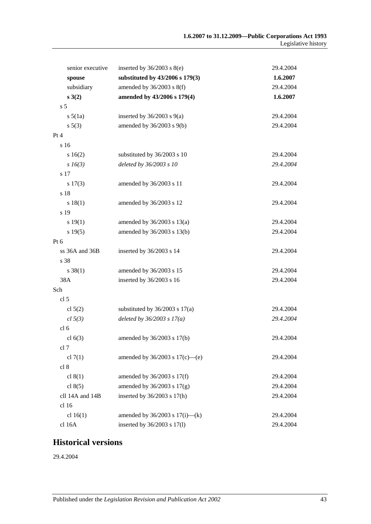| senior executive | inserted by $36/2003$ s $8(e)$      | 29.4.2004 |
|------------------|-------------------------------------|-----------|
| spouse           | substituted by 43/2006 s 179(3)     | 1.6.2007  |
| subsidiary       | amended by $36/2003$ s $8(f)$       | 29.4.2004 |
| s(3(2))          | amended by 43/2006 s 179(4)         | 1.6.2007  |
| s <sub>5</sub>   |                                     |           |
| $s\,5(1a)$       | inserted by $36/2003$ s $9(a)$      | 29.4.2004 |
| $s\ 5(3)$        | amended by $36/2003$ s $9(b)$       | 29.4.2004 |
| Pt 4             |                                     |           |
| s 16             |                                     |           |
| s 16(2)          | substituted by 36/2003 s 10         | 29.4.2004 |
| $s\,16(3)$       | deleted by 36/2003 s 10             | 29.4.2004 |
| s 17             |                                     |           |
| s 17(3)          | amended by 36/2003 s 11             | 29.4.2004 |
| s 18             |                                     |           |
| s 18(1)          | amended by 36/2003 s 12             | 29.4.2004 |
| s 19             |                                     |           |
| s 19(1)          | amended by $36/2003$ s $13(a)$      | 29.4.2004 |
| s 19(5)          | amended by 36/2003 s 13(b)          | 29.4.2004 |
| Pt 6             |                                     |           |
| ss 36A and 36B   | inserted by 36/2003 s 14            | 29.4.2004 |
| s 38             |                                     |           |
| $s \ 38(1)$      | amended by 36/2003 s 15             | 29.4.2004 |
| 38A              | inserted by 36/2003 s 16            | 29.4.2004 |
| Sch              |                                     |           |
| cl 5             |                                     |           |
| cl $5(2)$        | substituted by $36/2003$ s $17(a)$  | 29.4.2004 |
| cl 5(3)          | deleted by $36/2003 s 17(a)$        | 29.4.2004 |
| cl <sub>6</sub>  |                                     |           |
| cl $6(3)$        | amended by 36/2003 s 17(b)          | 29.4.2004 |
| cl 7             |                                     |           |
| cl $7(1)$        | amended by $36/2003$ s $17(c)$ —(e) | 29.4.2004 |
| cl 8             |                                     |           |
| cl $8(1)$        | amended by 36/2003 s 17(f)          | 29.4.2004 |
| cl $8(5)$        | amended by $36/2003$ s $17(g)$      | 29.4.2004 |
| cll 14A and 14B  | inserted by 36/2003 s 17(h)         | 29.4.2004 |
| cl 16            |                                     |           |
| cl $16(1)$       | amended by $36/2003$ s $17(i)$ —(k) | 29.4.2004 |
| cl 16A           | inserted by 36/2003 s 17(1)         | 29.4.2004 |

### **Historical versions**

29.4.2004